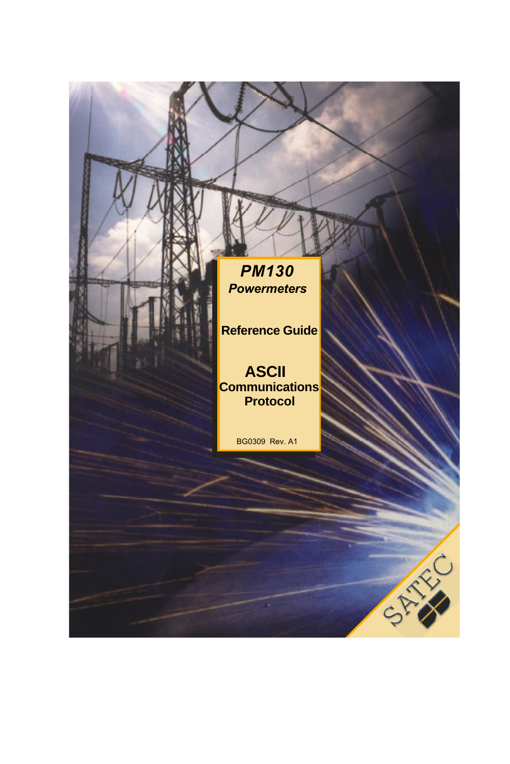*PM130 Powermeters*

**Reference Guide**

**ASCII Communications Protocol**

BG0309 Rev. A1

×.

CANAL CO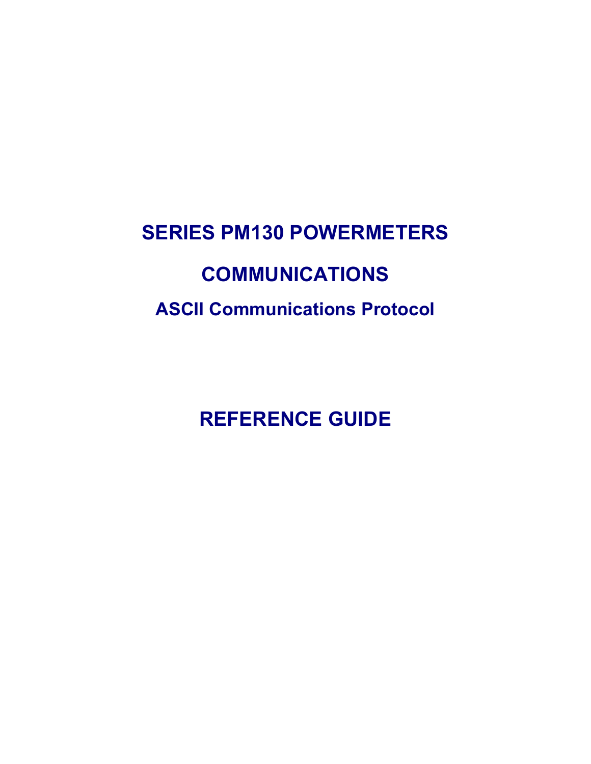# **SERIES PM130 POWERMETERS COMMUNICATIONS ASCII Communications Protocol**

**REFERENCE GUIDE**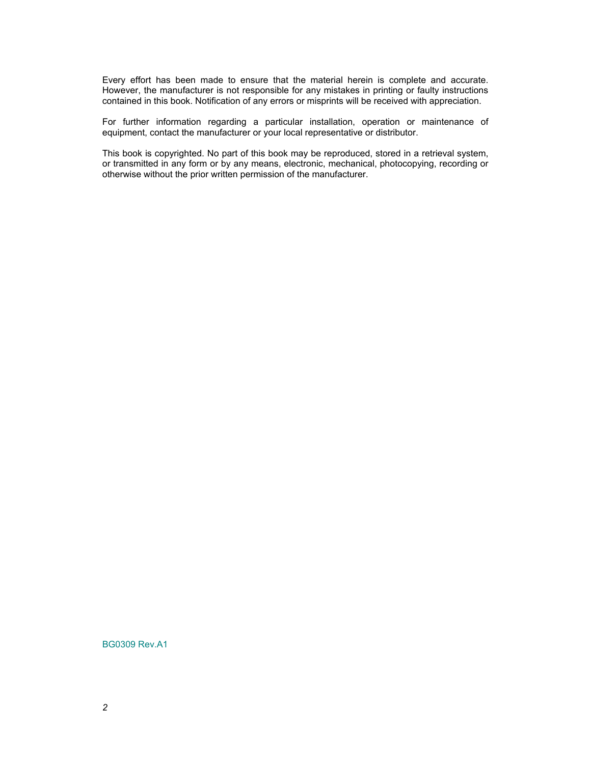Every effort has been made to ensure that the material herein is complete and accurate. However, the manufacturer is not responsible for any mistakes in printing or faulty instructions contained in this book. Notification of any errors or misprints will be received with appreciation.

For further information regarding a particular installation, operation or maintenance of equipment, contact the manufacturer or your local representative or distributor.

This book is copyrighted. No part of this book may be reproduced, stored in a retrieval system, or transmitted in any form or by any means, electronic, mechanical, photocopying, recording or otherwise without the prior written permission of the manufacturer.

BG0309 Rev.A1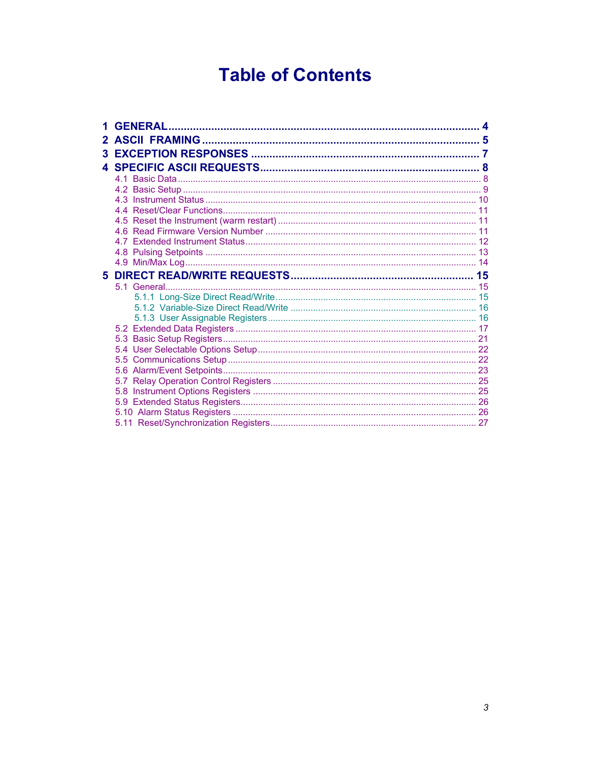# **Table of Contents**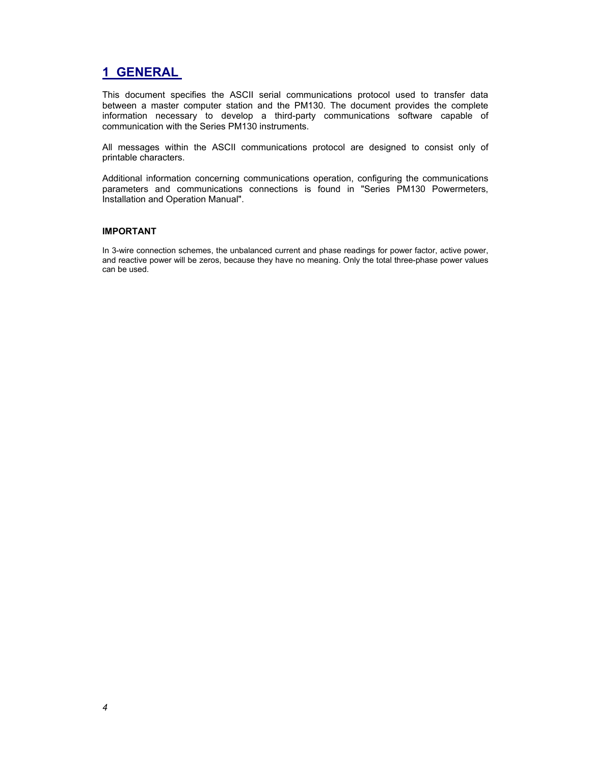## **1 GENERAL**

This document specifies the ASCII serial communications protocol used to transfer data between a master computer station and the PM130. The document provides the complete information necessary to develop a third-party communications software capable of communication with the Series PM130 instruments.

All messages within the ASCII communications protocol are designed to consist only of printable characters.

Additional information concerning communications operation, configuring the communications parameters and communications connections is found in "Series PM130 Powermeters, Installation and Operation Manual".

#### **IMPORTANT**

In 3-wire connection schemes, the unbalanced current and phase readings for power factor, active power, and reactive power will be zeros, because they have no meaning. Only the total three-phase power values can be used.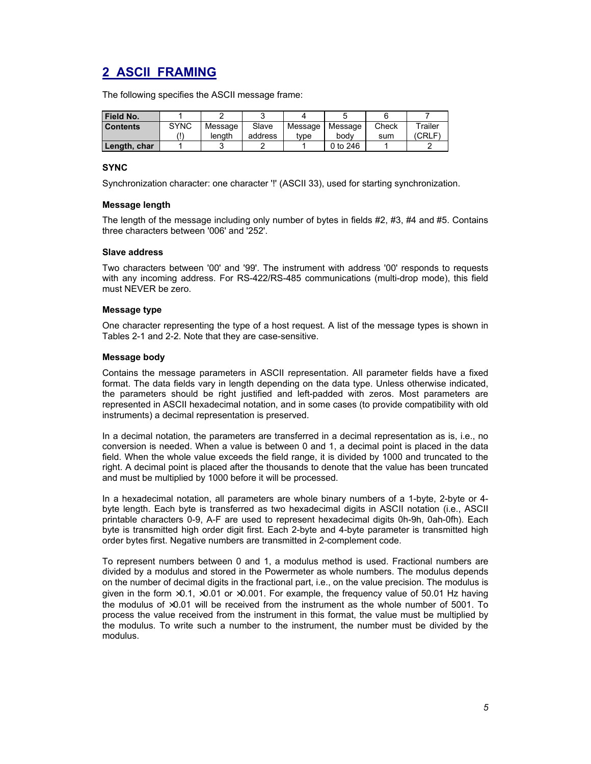# **2 ASCII FRAMING**

The following specifies the ASCII message frame:

| Field No.       |             |         |         |         |          |       |         |
|-----------------|-------------|---------|---------|---------|----------|-------|---------|
| <b>Contents</b> | <b>SYNC</b> | Message | Slave   | Message | Message  | Check | Trailer |
|                 |             | lenath  | address | tvpe    | bodv     | sum   | (CRLF)  |
| Length, char    |             |         |         |         | 0 to 246 |       |         |

#### **SYNC**

Synchronization character: one character '!' (ASCII 33), used for starting synchronization.

#### **Message length**

The length of the message including only number of bytes in fields #2, #3, #4 and #5. Contains three characters between '006' and '252'.

#### **Slave address**

Two characters between '00' and '99'. The instrument with address '00' responds to requests with any incoming address. For RS-422/RS-485 communications (multi-drop mode), this field must NEVER be zero.

#### **Message type**

One character representing the type of a host request. A list of the message types is shown in Tables 2-1 and 2-2. Note that they are case-sensitive.

#### **Message body**

Contains the message parameters in ASCII representation. All parameter fields have a fixed format. The data fields vary in length depending on the data type. Unless otherwise indicated, the parameters should be right justified and left-padded with zeros. Most parameters are represented in ASCII hexadecimal notation, and in some cases (to provide compatibility with old instruments) a decimal representation is preserved.

In a decimal notation, the parameters are transferred in a decimal representation as is, i.e., no conversion is needed. When a value is between 0 and 1, a decimal point is placed in the data field. When the whole value exceeds the field range, it is divided by 1000 and truncated to the right. A decimal point is placed after the thousands to denote that the value has been truncated and must be multiplied by 1000 before it will be processed.

In a hexadecimal notation, all parameters are whole binary numbers of a 1-byte, 2-byte or 4 byte length. Each byte is transferred as two hexadecimal digits in ASCII notation (i.e., ASCII printable characters 0-9, A-F are used to represent hexadecimal digits 0h-9h, 0ah-0fh). Each byte is transmitted high order digit first. Each 2-byte and 4-byte parameter is transmitted high order bytes first. Negative numbers are transmitted in 2-complement code.

To represent numbers between 0 and 1, a modulus method is used. Fractional numbers are divided by a modulus and stored in the Powermeter as whole numbers. The modulus depends on the number of decimal digits in the fractional part, i.e., on the value precision. The modulus is given in the form  $\times$ 0.1,  $\times$ 0.01 or  $\times$ 0.001. For example, the frequency value of 50.01 Hz having the modulus of ×0.01 will be received from the instrument as the whole number of 5001. To process the value received from the instrument in this format, the value must be multiplied by the modulus. To write such a number to the instrument, the number must be divided by the modulus.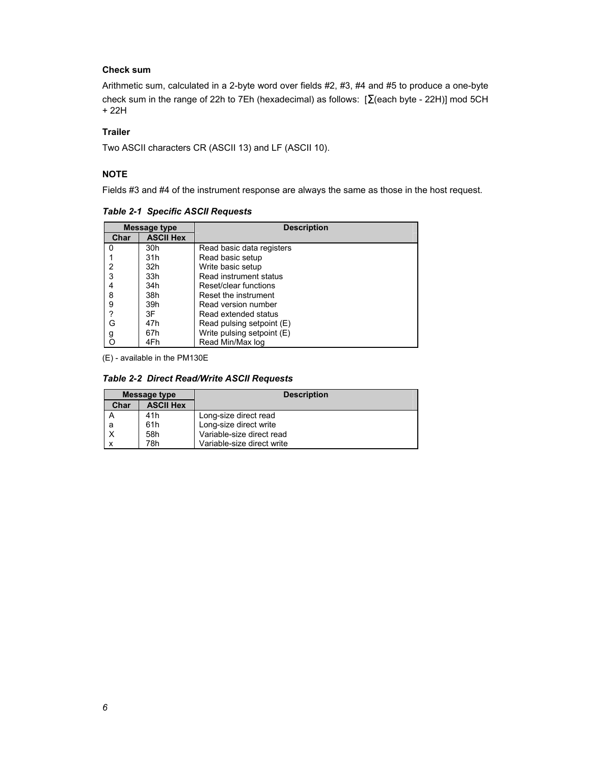### **Check sum**

Arithmetic sum, calculated in a 2-byte word over fields #2, #3, #4 and #5 to produce a one-byte check sum in the range of 22h to 7Eh (hexadecimal) as follows: [Σ(each byte - 22H)] mod 5CH + 22H

### **Trailer**

Two ASCII characters CR (ASCII 13) and LF (ASCII 10).

#### **NOTE**

Fields #3 and #4 of the instrument response are always the same as those in the host request.

|      | Message type     | <b>Description</b>         |  |  |
|------|------------------|----------------------------|--|--|
| Char | <b>ASCII Hex</b> |                            |  |  |
| 0    | 30h              | Read basic data registers  |  |  |
|      | 31h              | Read basic setup           |  |  |
| 2    | 32h              | Write basic setup          |  |  |
| 3    | 33h              | Read instrument status     |  |  |
| 4    | 34h              | Reset/clear functions      |  |  |
| 8    | 38h              | Reset the instrument       |  |  |
| 9    | 39h              | Read version number        |  |  |
| ?    | 3F               | Read extended status       |  |  |
| G    | 47h              | Read pulsing setpoint (E)  |  |  |
| g    | 67h              | Write pulsing setpoint (E) |  |  |
| O    | 4Fh              | Read Min/Max log           |  |  |

*Table 2-1 Specific ASCII Requests* 

(E) - available in the PM130E

### *Table 2-2 Direct Read/Write ASCII Requests*

| Message type |                  | <b>Description</b>         |
|--------------|------------------|----------------------------|
| Char         | <b>ASCII Hex</b> |                            |
| А            | 41h              | Long-size direct read      |
| а            | 61h              | Long-size direct write     |
| X            | 58h              | Variable-size direct read  |
| x            | 78h              | Variable-size direct write |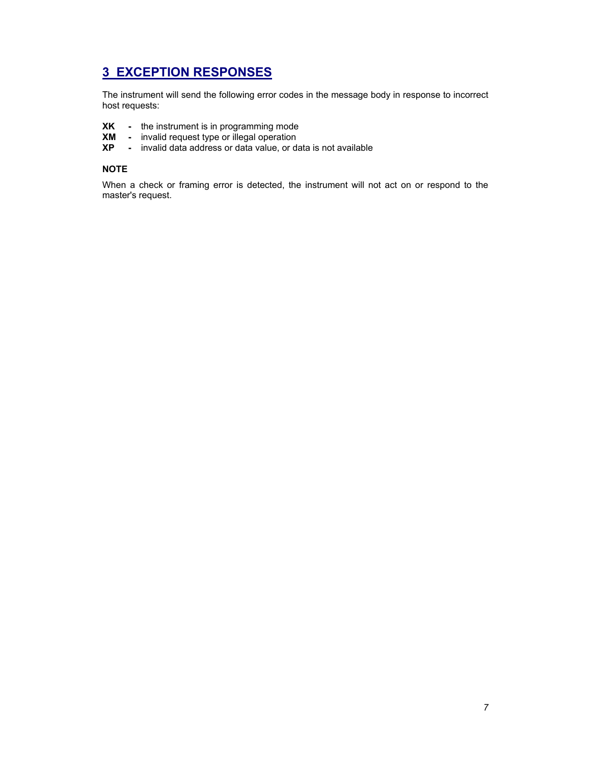# **3 EXCEPTION RESPONSES**

The instrument will send the following error codes in the message body in response to incorrect host requests:

- **XK** the instrument is in programming mode
- **XM** invalid request type or illegal operation
- **XP** invalid data address or data value, or data is not available

#### **NOTE**

When a check or framing error is detected, the instrument will not act on or respond to the master's request.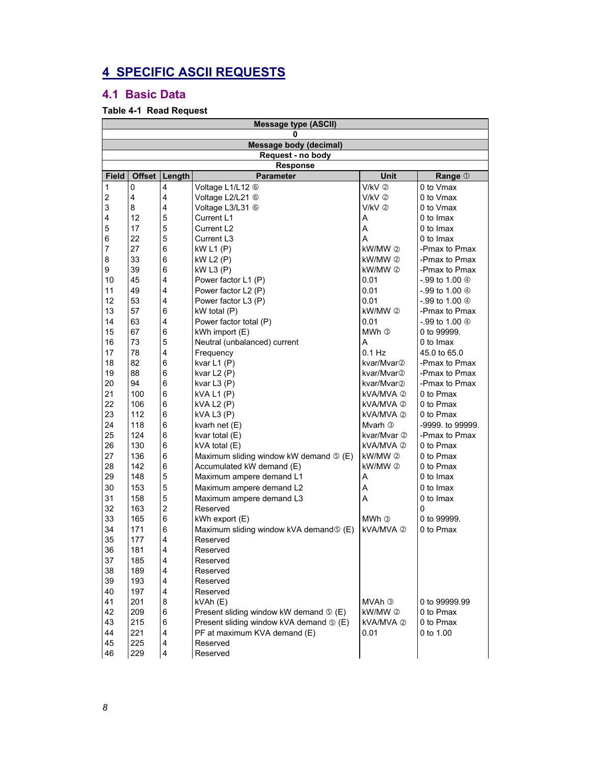# **4 SPECIFIC ASCII REQUESTS**

### **4.1 Basic Data**

### **Table 4-1 Read Request**

|                  | <b>Message type (ASCII)</b>   |                         |                                                     |                    |                   |  |  |  |
|------------------|-------------------------------|-------------------------|-----------------------------------------------------|--------------------|-------------------|--|--|--|
|                  | 0                             |                         |                                                     |                    |                   |  |  |  |
|                  | <b>Message body (decimal)</b> |                         |                                                     |                    |                   |  |  |  |
|                  | Request - no body             |                         |                                                     |                    |                   |  |  |  |
|                  | <b>Response</b>               |                         |                                                     |                    |                   |  |  |  |
| <b>Field</b>     | Offset                        | Length                  | <b>Parameter</b>                                    | Unit               | Range 1           |  |  |  |
| 1                | $\mathbf 0$                   | $\overline{4}$          | Voltage L1/L12 6                                    | V/kV 2             | 0 to Vmax         |  |  |  |
| $\boldsymbol{2}$ | $\overline{4}$                | $\overline{4}$          | Voltage L2/L21 6                                    | $V/KV$ $\oslash$   | 0 to Vmax         |  |  |  |
| 3                | 8                             | $\overline{4}$          | Voltage L3/L31 6                                    | $V/KV$ 2           | 0 to Vmax         |  |  |  |
| 4                | 12                            | 5                       | Current L1                                          | A                  | 0 to Imax         |  |  |  |
| 5                | 17                            | 5                       | Current L2                                          | A                  | 0 to Imax         |  |  |  |
| 6                | 22                            | 5                       | Current L3                                          | A                  | 0 to Imax         |  |  |  |
| $\overline{7}$   | 27                            | 6                       | kW L1 (P)                                           | kW/MW 2            | -Pmax to Pmax     |  |  |  |
| 8                | 33                            | 6                       | <b>kW L2 (P)</b>                                    | $k$ W/MW $(2)$     | -Pmax to Pmax     |  |  |  |
| 9                | 39                            | 6                       | kW L3(P)                                            | kW/MW 2            | -Pmax to Pmax     |  |  |  |
| 10               | 45                            | $\overline{4}$          | Power factor L1 (P)                                 | 0.01               | -.99 to 1.00 ④    |  |  |  |
| 11               | 49                            | $\overline{4}$          | Power factor L2 (P)                                 | 0.01               | -.99 to 1.00 4    |  |  |  |
| 12               | 53                            | $\overline{4}$          | Power factor L3 (P)                                 | 0.01               | -.99 to 1.00 ④    |  |  |  |
| 13               | 57                            | 6                       | kW total (P)                                        | kW/MW 2            | -Pmax to Pmax     |  |  |  |
| 14               | 63                            | $\overline{4}$          | Power factor total (P)                              | 0.01               | $-99$ to 1.00 $@$ |  |  |  |
| 15               | 67                            | 6                       | kWh import (E)                                      | MWh ③              | 0 to 99999.       |  |  |  |
| 16               | 73                            | 5                       | Neutral (unbalanced) current                        | A                  | 0 to Imax         |  |  |  |
| 17               | 78                            | 4                       | Frequency                                           | $0.1$ Hz           | 45.0 to 65.0      |  |  |  |
| 18               | 82                            | 6                       | kvar L1 (P)                                         | kvar/Mvar2         | -Pmax to Pmax     |  |  |  |
| 19               | 88                            | 6                       | kvar L2 (P)                                         | kvar/Mvar②         | -Pmax to Pmax     |  |  |  |
| 20               | 94                            | 6                       | kvar $L3(P)$                                        | kvar/Mvar②         | -Pmax to Pmax     |  |  |  |
| 21               | 100                           | 6                       | kVA L1 (P)                                          | kVA/MVA 2          | 0 to Pmax         |  |  |  |
| 22               | 106                           | 6                       | <b>kVA L2 (P)</b>                                   | kVA/MVA ②          | 0 to Pmax         |  |  |  |
| 23               | 112                           | 6                       | kVA L3 (P)                                          | kVA/MVA ②          | 0 to Pmax         |  |  |  |
| 24               | 118                           | 6                       | kvarh net (E)                                       | Mvarh <sup>3</sup> | -9999. to 99999.  |  |  |  |
| 25               | 124                           | 6                       | kvar total (E)                                      | kvar/Mvar ②        | -Pmax to Pmax     |  |  |  |
| 26               | 130                           | 6                       | kVA total (E)                                       | kVA/MVA ②          | 0 to Pmax         |  |  |  |
| 27               | 136                           | 6                       | Maximum sliding window kW demand $\circ$ (E)        | kW/MW ②            | 0 to Pmax         |  |  |  |
| 28               | 142                           | 6                       | Accumulated kW demand (E)                           | kW/MW 2            | 0 to Pmax         |  |  |  |
| 29               | 148                           | 5                       | Maximum ampere demand L1                            | A                  | 0 to Imax         |  |  |  |
| 30               | 153                           | 5                       | Maximum ampere demand L2                            | A                  | 0 to Imax         |  |  |  |
| 31               | 158                           | 5                       | Maximum ampere demand L3                            | A                  | 0 to Imax         |  |  |  |
| 32               | 163                           | $\overline{2}$          | Reserved                                            |                    | 0                 |  |  |  |
| 33               | 165                           | 6                       | kWh export (E)                                      | MWh <sup>3</sup>   | 0 to 99999.       |  |  |  |
| 34               | 171                           | 6                       | Maximum sliding window kVA demand $\circ$ (E)       | kVA/MVA 2          | 0 to Pmax         |  |  |  |
| 35               | 177                           | $\overline{4}$          | Reserved                                            |                    |                   |  |  |  |
| 36               | 181                           | $\overline{4}$          | Reserved                                            |                    |                   |  |  |  |
| 37               | 185                           | $\overline{\mathbf{4}}$ | Reserved                                            |                    |                   |  |  |  |
| 38               | 189                           | $\overline{4}$          | Reserved                                            |                    |                   |  |  |  |
| 39               | 193                           | $\overline{4}$          | Reserved                                            |                    |                   |  |  |  |
| 40               | 197                           | 4                       | Reserved                                            |                    |                   |  |  |  |
| 41               | 201                           | 8                       | kVAh (E)                                            | MVAh ③             | 0 to 99999.99     |  |  |  |
| 42               | 209                           | 6                       | Present sliding window kW demand $\circledcirc$ (E) | kW/MW 2            | 0 to Pmax         |  |  |  |
| 43               | 215                           | 6                       | Present sliding window kVA demand <b>O</b> (E)      | kVA/MVA 2          | 0 to Pmax         |  |  |  |
| 44               | 221                           | $\overline{4}$          | PF at maximum KVA demand (E)                        | 0.01               | 0 to 1.00         |  |  |  |
| 45               | 225                           | $\overline{4}$          | Reserved                                            |                    |                   |  |  |  |
| 46               | 229                           | $\overline{4}$          | Reserved                                            |                    |                   |  |  |  |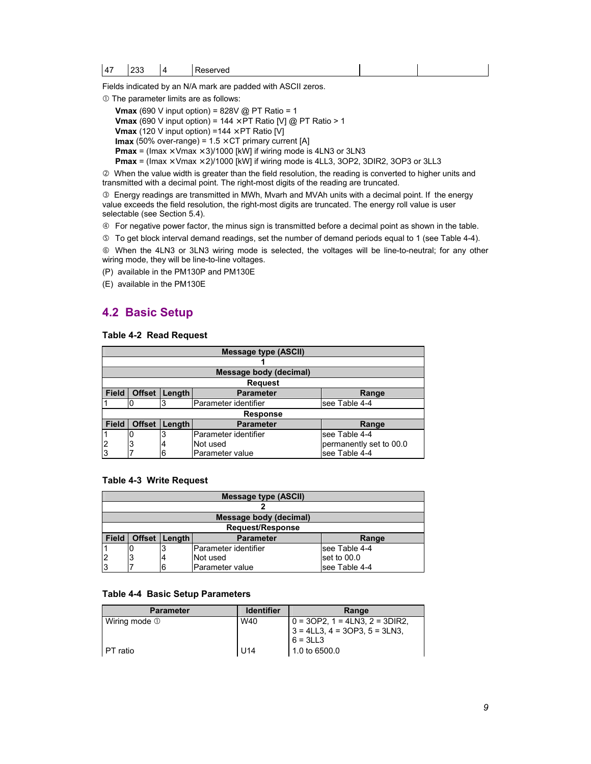Fields indicated by an N/A mark are padded with ASCII zeros.

 $O$  The parameter limits are as follows:

**Vmax** (690 V input option) =  $828V$  @ PT Ratio = 1

**Vmax** (690 V input option) =  $144 \times PT$  Ratio [V] @ PT Ratio > 1

**Vmax** (120 V input option) =144  $\times$  PT Ratio [V]

**Imax** (50% over-range) =  $1.5 \times CT$  primary current [A]

**Pmax** = (Imax  $\times$  Vmax  $\times$  3)/1000 [kW] if wiring mode is 4LN3 or 3LN3

**Pmax** = (Imax  $\times$  Vmax  $\times$  2)/1000 [kW] if wiring mode is 4LL3, 3OP2, 3DIR2, 3OP3 or 3LL3

d When the value width is greater than the field resolution, the reading is converted to higher units and transmitted with a decimal point. The right-most digits of the reading are truncated.

 $\circledcirc$  Energy readings are transmitted in MWh, Mvarh and MVAh units with a decimal point. If the energy value exceeds the field resolution, the right-most digits are truncated. The energy roll value is user selectable (see Section 5.4).

 $\circledast$  For negative power factor, the minus sign is transmitted before a decimal point as shown in the table.

g To get block interval demand readings, set the number of demand periods equal to 1 (see Table 4-4).

 $@$  When the 4LN3 or 3LN3 wiring mode is selected, the voltages will be line-to-neutral; for any other wiring mode, they will be line-to-line voltages.

(P) available in the PM130P and PM130E

(E) available in the PM130E

### **4.2 Basic Setup**

#### **Table 4-2 Read Request**

|              | <b>Message type (ASCII)</b>                          |        |                      |                         |  |  |  |  |
|--------------|------------------------------------------------------|--------|----------------------|-------------------------|--|--|--|--|
|              |                                                      |        |                      |                         |  |  |  |  |
|              | Message body (decimal)                               |        |                      |                         |  |  |  |  |
|              | <b>Request</b>                                       |        |                      |                         |  |  |  |  |
| <b>Field</b> | Offset                                               | Length | <b>Parameter</b>     | Range                   |  |  |  |  |
|              |                                                      | 3      | Parameter identifier | see Table 4-4           |  |  |  |  |
|              |                                                      |        | <b>Response</b>      |                         |  |  |  |  |
| <b>Field</b> | <b>Offset</b><br>Length<br><b>Parameter</b><br>Range |        |                      |                         |  |  |  |  |
|              | 0                                                    | 3      | Parameter identifier | see Table 4-4           |  |  |  |  |
| 2            | 3                                                    | 4      | Not used             | permanently set to 00.0 |  |  |  |  |
|              |                                                      | 6      | Parameter value      | see Table 4-4           |  |  |  |  |

#### **Table 4-3 Write Request**

| <b>Message type (ASCII)</b> |                         |        |                       |               |  |  |  |
|-----------------------------|-------------------------|--------|-----------------------|---------------|--|--|--|
|                             |                         |        |                       |               |  |  |  |
|                             | Message body (decimal)  |        |                       |               |  |  |  |
|                             | <b>Request/Response</b> |        |                       |               |  |  |  |
| <b>Field</b>                | <b>Offset</b>           | Length | <b>Parameter</b>      | Range         |  |  |  |
|                             |                         |        | lParameter identifier | see Table 4-4 |  |  |  |
| $\overline{2}$              |                         |        | Not used              | set to 00.0   |  |  |  |
| 13                          |                         | 6      | lParameter value      | see Table 4-4 |  |  |  |

### **Table 4-4 Basic Setup Parameters**

| <b>Parameter</b>        | <b>Identifier</b> | Range                                  |
|-------------------------|-------------------|----------------------------------------|
| Wiring mode $\mathbb O$ | W40               | $0 = 3OP2$ , 1 = 4LN3, 2 = 3DIR2,      |
|                         |                   | $3 = 4LL3$ , $4 = 3OP3$ , $5 = 3LN3$ , |
|                         |                   | $6 = 3LL3$                             |
| I PT ratio              | U14               | $\vert$ 1.0 to 6500.0                  |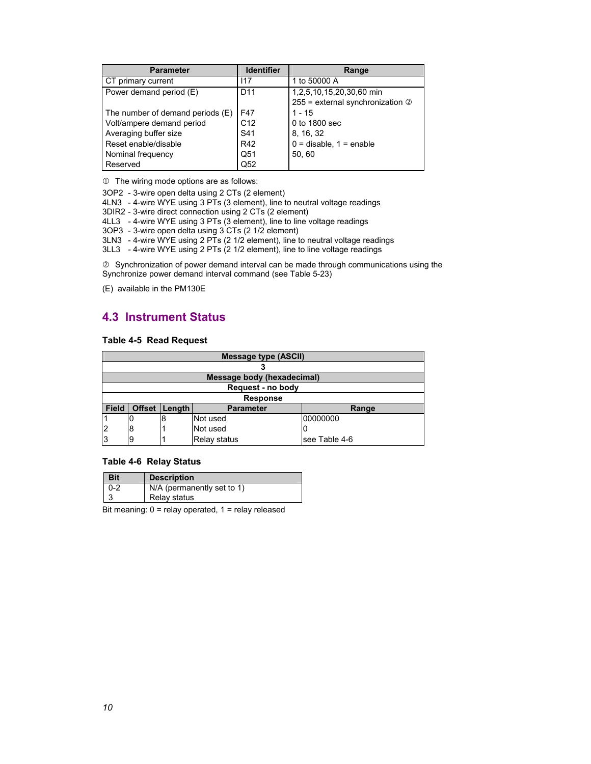| <b>Parameter</b>                 | <b>Identifier</b> | Range                                      |
|----------------------------------|-------------------|--------------------------------------------|
| CT primary current               | 117               | 1 to 50000 A                               |
| Power demand period (E)          | D <sub>11</sub>   | 1,2,5,10,15,20,30,60 min                   |
|                                  |                   | $255$ = external synchronization $\oslash$ |
| The number of demand periods (E) | F47               | $1 - 15$                                   |
| Volt/ampere demand period        | C <sub>12</sub>   | 0 to 1800 sec                              |
| Averaging buffer size            | S41               | 8, 16, 32                                  |
| Reset enable/disable             | R42               | $0 =$ disable, $1 =$ enable                |
| Nominal frequency                | Q51               | 50, 60                                     |
| Reserved                         | Q <sub>52</sub>   |                                            |

 $<sup>1</sup>$  The wiring mode options are as follows:</sup>

3OP2 - 3-wire open delta using 2 CTs (2 element)

4LN3 - 4-wire WYE using 3 PTs (3 element), line to neutral voltage readings

3DIR2 - 3-wire direct connection using 2 CTs (2 element)

4LL3 - 4-wire WYE using 3 PTs (3 element), line to line voltage readings

3OP3 - 3-wire open delta using 3 CTs (2 1/2 element)

3LN3 - 4-wire WYE using 2 PTs (2 1/2 element), line to neutral voltage readings

3LL3 - 4-wire WYE using 2 PTs (2 1/2 element), line to line voltage readings

d Synchronization of power demand interval can be made through communications using the Synchronize power demand interval command (see Table 5-23)

(E) available in the PM130E

### **4.3 Instrument Status**

### **Table 4-5 Read Request**

|              | <b>Message type (ASCII)</b> |        |                  |               |  |  |  |
|--------------|-----------------------------|--------|------------------|---------------|--|--|--|
|              |                             |        |                  |               |  |  |  |
|              | Message body (hexadecimal)  |        |                  |               |  |  |  |
|              | Request - no body           |        |                  |               |  |  |  |
|              |                             |        | <b>Response</b>  |               |  |  |  |
| <b>Field</b> | <b>Offset</b>               | Length | <b>Parameter</b> | Range         |  |  |  |
|              | O                           | 8      | Not used         | 00000000      |  |  |  |
| 2            | 8                           |        | Not used         | U             |  |  |  |
| 3            | 9                           |        | Relay status     | see Table 4-6 |  |  |  |

### **Table 4-6 Relay Status**

| <b>Bit</b> | <b>Description</b>         |
|------------|----------------------------|
| $0 - 2$    | N/A (permanently set to 1) |
|            | Relay status               |

Bit meaning: 0 = relay operated, 1 = relay released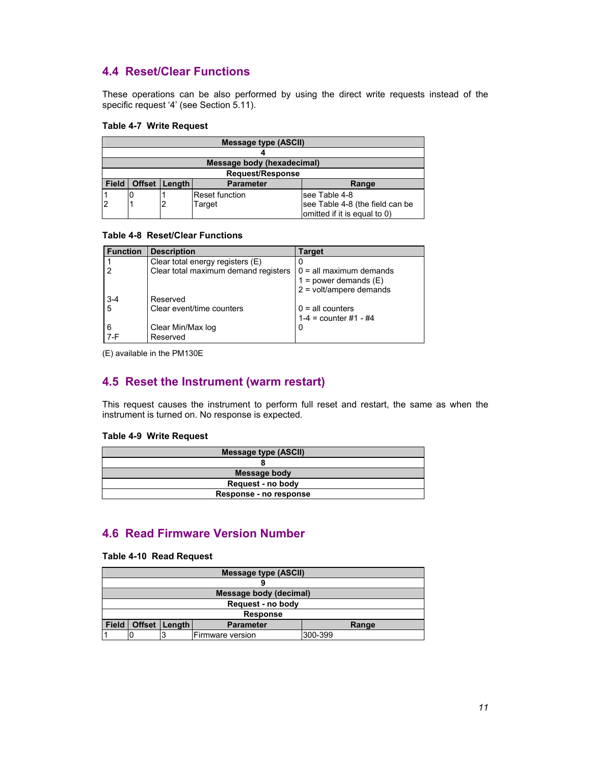### **4.4 Reset/Clear Functions**

These operations can be also performed by using the direct write requests instead of the specific request '4' (see Section 5.11).

#### **Table 4-7 Write Request**

|                | <b>Message type (ASCII)</b>                    |  |                |                                 |  |  |  |
|----------------|------------------------------------------------|--|----------------|---------------------------------|--|--|--|
|                |                                                |  |                |                                 |  |  |  |
|                | Message body (hexadecimal)                     |  |                |                                 |  |  |  |
|                | <b>Request/Response</b>                        |  |                |                                 |  |  |  |
| <b>Field</b>   | Offset   Length  <br><b>Parameter</b><br>Range |  |                |                                 |  |  |  |
|                | IU.                                            |  | Reset function | see Table 4-8                   |  |  |  |
| $\overline{2}$ |                                                |  | Target         | see Table 4-8 (the field can be |  |  |  |
|                |                                                |  |                | omitted if it is equal to 0)    |  |  |  |

### **Table 4-8 Reset/Clear Functions**

| <b>Function</b> | <b>Description</b>                   | <b>Target</b>             |
|-----------------|--------------------------------------|---------------------------|
|                 | Clear total energy registers (E)     |                           |
|                 | Clear total maximum demand registers | $0 =$ all maximum demands |
|                 |                                      | $1 = power$ demands $(E)$ |
|                 |                                      | $2 =$ volt/ampere demands |
| $3-4$           | Reserved                             |                           |
| 5               | Clear event/time counters            | $0 =$ all counters        |
|                 |                                      | $1-4$ = counter #1 - #4   |
| 6               | Clear Min/Max log                    | 0                         |
| $7-F$           | Reserved                             |                           |

(E) available in the PM130E

### **4.5 Reset the Instrument (warm restart)**

This request causes the instrument to perform full reset and restart, the same as when the instrument is turned on. No response is expected.

### **Table 4-9 Write Request**

| <b>Message type (ASCII)</b> |
|-----------------------------|
|                             |
| Message body                |
| Request - no body           |
| Response - no response      |

### **4.6 Read Firmware Version Number**

### **Table 4-10 Read Request**

|                             | <b>Message type (ASCII)</b>                    |  |                        |  |  |  |
|-----------------------------|------------------------------------------------|--|------------------------|--|--|--|
|                             |                                                |  |                        |  |  |  |
|                             |                                                |  | Message body (decimal) |  |  |  |
|                             | Request - no body                              |  |                        |  |  |  |
|                             | <b>Response</b>                                |  |                        |  |  |  |
| <b>Field</b>                | Offset   Length  <br><b>Parameter</b><br>Range |  |                        |  |  |  |
| 300-399<br>Firmware version |                                                |  |                        |  |  |  |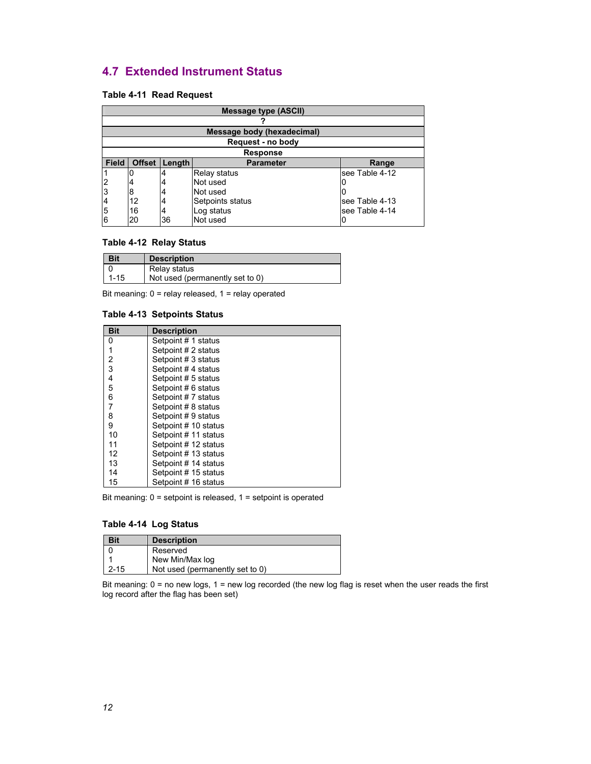### **4.7 Extended Instrument Status**

### **Table 4-11 Read Request**

|                | <b>Message type (ASCII)</b>                |                                    |                            |                |  |  |  |
|----------------|--------------------------------------------|------------------------------------|----------------------------|----------------|--|--|--|
|                |                                            |                                    |                            |                |  |  |  |
|                |                                            |                                    | Message body (hexadecimal) |                |  |  |  |
|                |                                            |                                    | Request - no body          |                |  |  |  |
|                |                                            |                                    | <b>Response</b>            |                |  |  |  |
| <b>Field</b>   | Offset Length<br><b>Parameter</b><br>Range |                                    |                            |                |  |  |  |
|                |                                            |                                    | <b>Relay status</b>        | see Table 4-12 |  |  |  |
| $\overline{2}$ | 4                                          |                                    | Not used                   |                |  |  |  |
| 3              | Not used<br>8                              |                                    |                            |                |  |  |  |
| 4              | 12                                         | Setpoints status<br>see Table 4-13 |                            |                |  |  |  |
| 5              | see Table 4-14<br>16<br>Log status         |                                    |                            |                |  |  |  |
| 6              | 20                                         | 36                                 | Not used                   |                |  |  |  |

### **Table 4-12 Relay Status**

| <b>Bit</b> | <b>Description</b>              |
|------------|---------------------------------|
|            | Relay status                    |
| $1 - 15$   | Not used (permanently set to 0) |

Bit meaning: 0 = relay released, 1 = relay operated

### **Table 4-13 Setpoints Status**

| <b>Bit</b> | <b>Description</b>   |
|------------|----------------------|
| $\Omega$   | Setpoint # 1 status  |
|            | Setpoint # 2 status  |
| 2          | Setpoint # 3 status  |
| 3          | Setpoint #4 status   |
| 4          | Setpoint # 5 status  |
| 5          | Setpoint # 6 status  |
| 6          | Setpoint #7 status   |
| 7          | Setpoint # 8 status  |
| 8          | Setpoint #9 status   |
| 9          | Setpoint # 10 status |
| 10         | Setpoint # 11 status |
| 11         | Setpoint # 12 status |
| 12         | Setpoint #13 status  |
| 13         | Setpoint # 14 status |
| 14         | Setpoint # 15 status |
| 15         | Setpoint # 16 status |

Bit meaning: 0 = setpoint is released, 1 = setpoint is operated

### **Table 4-14 Log Status**

| <b>Bit</b> | <b>Description</b>              |
|------------|---------------------------------|
|            | Reserved                        |
|            | New Min/Max log                 |
| $2 - 15$   | Not used (permanently set to 0) |

Bit meaning: 0 = no new logs, 1 = new log recorded (the new log flag is reset when the user reads the first log record after the flag has been set)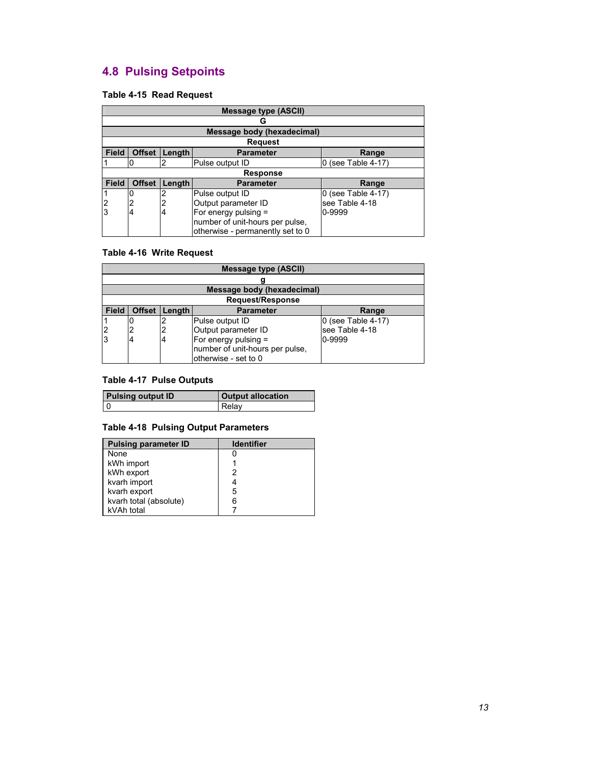# **4.8 Pulsing Setpoints**

### **Table 4-15 Read Request**

|                | <b>Message type (ASCII)</b>                          |        |                                  |                    |  |  |  |
|----------------|------------------------------------------------------|--------|----------------------------------|--------------------|--|--|--|
|                | u                                                    |        |                                  |                    |  |  |  |
|                |                                                      |        | Message body (hexadecimal)       |                    |  |  |  |
|                |                                                      |        | <b>Request</b>                   |                    |  |  |  |
| <b>Field</b>   | <b>Offset</b><br>Length<br><b>Parameter</b><br>Range |        |                                  |                    |  |  |  |
|                | 2<br>0 (see Table 4-17)<br>Pulse output ID           |        |                                  |                    |  |  |  |
|                |                                                      |        | <b>Response</b>                  |                    |  |  |  |
| <b>Field</b>   | <b>Offset</b>                                        | Length | <b>Parameter</b>                 | Range              |  |  |  |
|                |                                                      | っ      | Pulse output ID                  | 0 (see Table 4-17) |  |  |  |
| $\overline{c}$ | 2                                                    | 2      | Output parameter ID              | see Table 4-18     |  |  |  |
| 3              | 4                                                    | 4      | For energy pulsing =             | 0-9999             |  |  |  |
|                |                                                      |        | number of unit-hours per pulse,  |                    |  |  |  |
|                |                                                      |        | otherwise - permanently set to 0 |                    |  |  |  |

### **Table 4-16 Write Request**

| <b>Message type (ASCII)</b>                                           |                                                         |   |                 |                      |  |  |  |  |
|-----------------------------------------------------------------------|---------------------------------------------------------|---|-----------------|----------------------|--|--|--|--|
|                                                                       |                                                         |   |                 |                      |  |  |  |  |
|                                                                       | <b>Message body (hexadecimal)</b>                       |   |                 |                      |  |  |  |  |
|                                                                       | <b>Request/Response</b>                                 |   |                 |                      |  |  |  |  |
| <b>Field</b>                                                          | <b>Offset</b><br>Length<br><b>Parameter</b><br>Range    |   |                 |                      |  |  |  |  |
|                                                                       |                                                         |   | Pulse output ID | $0$ (see Table 4-17) |  |  |  |  |
| $\overline{2}$                                                        | 2                                                       | 2 | see Table 4-18  |                      |  |  |  |  |
| Output parameter ID<br>l3<br>For energy pulsing =<br>0-9999<br>4<br>4 |                                                         |   |                 |                      |  |  |  |  |
|                                                                       | number of unit-hours per pulse,<br>otherwise - set to 0 |   |                 |                      |  |  |  |  |

### **Table 4-17 Pulse Outputs**

| <b>Pulsing output ID</b> | <b>Output allocation</b> |
|--------------------------|--------------------------|
|                          | Relav                    |

### **Table 4-18 Pulsing Output Parameters**

| <b>Pulsing parameter ID</b> | <b>Identifier</b> |
|-----------------------------|-------------------|
| None                        |                   |
| kWh import                  |                   |
| kWh export                  |                   |
| kvarh import                |                   |
| kvarh export                | 5                 |
| kvarh total (absolute)      | 6                 |
| kVAh total                  |                   |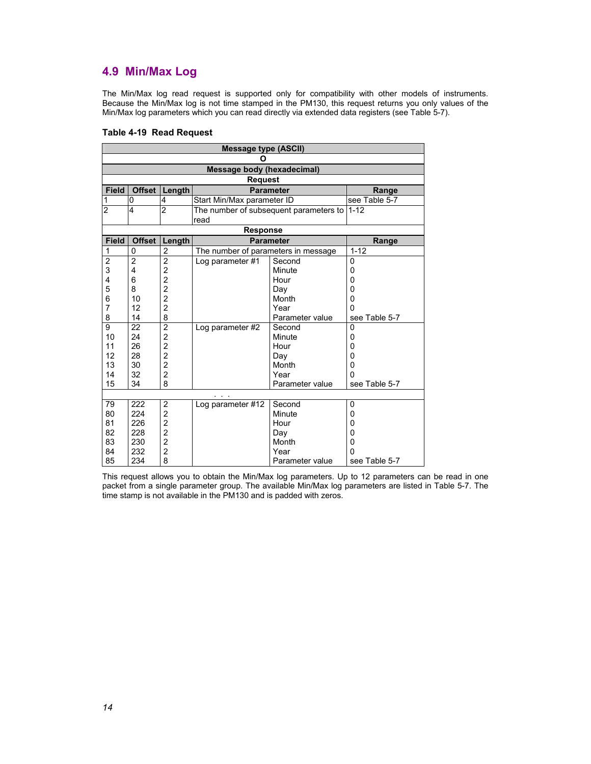### **4.9 Min/Max Log**

The Min/Max log read request is supported only for compatibility with other models of instruments. Because the Min/Max log is not time stamped in the PM130, this request returns you only values of the Min/Max log parameters which you can read directly via extended data registers (see Table 5-7).

| Table 4-19 Read Request |  |  |
|-------------------------|--|--|
|                         |  |  |

| <b>Message type (ASCII)</b> |                |                |                                     |                                        |                         |  |  |  |
|-----------------------------|----------------|----------------|-------------------------------------|----------------------------------------|-------------------------|--|--|--|
| O                           |                |                |                                     |                                        |                         |  |  |  |
| Message body (hexadecimal)  |                |                |                                     |                                        |                         |  |  |  |
| <b>Request</b>              |                |                |                                     |                                        |                         |  |  |  |
| <b>Field</b>                | <b>Offset</b>  | Length         |                                     | <b>Parameter</b>                       | Range                   |  |  |  |
| 1                           | 0              | 4              | Start Min/Max parameter ID          |                                        | see Table 5-7           |  |  |  |
| $\overline{2}$              | 4              | $\overline{2}$ |                                     | The number of subsequent parameters to | $1 - 12$                |  |  |  |
|                             |                |                | read                                |                                        |                         |  |  |  |
|                             |                |                | <b>Response</b>                     |                                        |                         |  |  |  |
| <b>Field</b>                | <b>Offset</b>  | Length         |                                     | <b>Parameter</b>                       | Range                   |  |  |  |
| 1                           | 0              | $\overline{c}$ | The number of parameters in message |                                        | $1 - 12$                |  |  |  |
| $\overline{2}$              | $\overline{2}$ | $\overline{2}$ | Log parameter #1                    | Second                                 | 0                       |  |  |  |
| 3                           | 4              | $\overline{c}$ |                                     | Minute                                 | 0                       |  |  |  |
| 4                           | 6              | $\overline{c}$ | Hour                                |                                        | 0                       |  |  |  |
| 5                           | 8              | $\overline{c}$ | Day                                 |                                        | 0                       |  |  |  |
| 6                           | 10             | $\overline{2}$ | Month                               |                                        | $\mathbf 0$<br>$\Omega$ |  |  |  |
| $\overline{7}$              | 12             | $\overline{2}$ |                                     | Year                                   |                         |  |  |  |
| 8                           | 14             | 8              |                                     | Parameter value                        | see Table 5-7           |  |  |  |
| 9                           | 22             | $\overline{2}$ | Log parameter #2                    | Second                                 | $\mathbf 0$             |  |  |  |
| 10                          | 24             | $\overline{c}$ |                                     | Minute                                 | 0                       |  |  |  |
| 11                          | 26             | $\overline{2}$ |                                     | Hour                                   | $\mathbf 0$             |  |  |  |
| 12                          | 28             | $\overline{c}$ |                                     | Day                                    | 0                       |  |  |  |
| 13                          | 30             | $\overline{c}$ |                                     | Month                                  | $\mathbf 0$             |  |  |  |
| 14                          | 32             | $\overline{2}$ |                                     | Year                                   | $\Omega$                |  |  |  |
| 15                          | 34             | 8              |                                     | Parameter value                        | see Table 5-7           |  |  |  |
|                             |                |                |                                     |                                        |                         |  |  |  |
| 79                          | 222            | $\overline{2}$ | Log parameter #12                   | Second                                 | 0                       |  |  |  |
| 80                          | 224            | $\overline{c}$ | Minute                              |                                        | 0<br>0                  |  |  |  |
| 81                          | 226            | $\overline{c}$ |                                     | Hour                                   |                         |  |  |  |
| 82                          | 228            | $\overline{2}$ | Day                                 |                                        | 0                       |  |  |  |
| 83                          | 230            | $\overline{c}$ |                                     | Month                                  | $\mathbf 0$             |  |  |  |
| 84                          | 232            | $\overline{2}$ |                                     | Year                                   | $\Omega$                |  |  |  |
| 85                          | 234            | 8              |                                     | Parameter value                        | see Table 5-7           |  |  |  |

This request allows you to obtain the Min/Max log parameters. Up to 12 parameters can be read in one packet from a single parameter group. The available Min/Max log parameters are listed in Table 5-7. The time stamp is not available in the PM130 and is padded with zeros.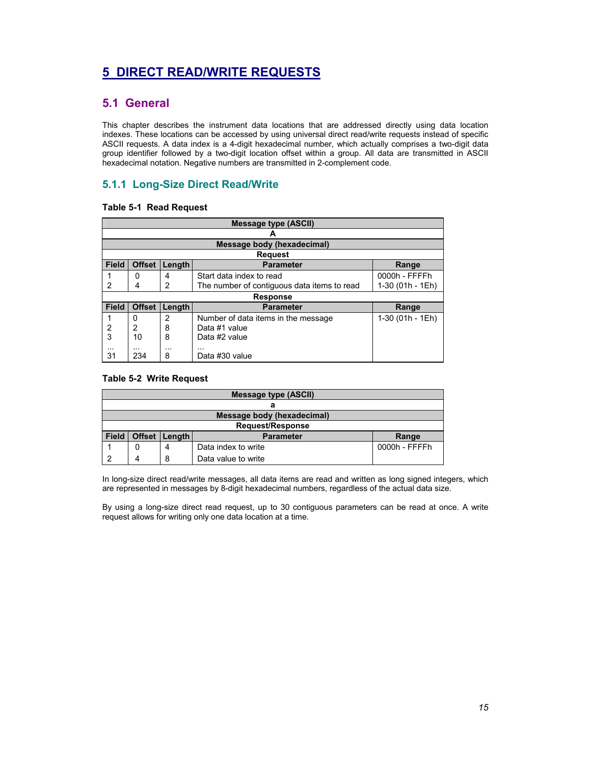# **5 DIRECT READ/WRITE REQUESTS**

### **5.1 General**

This chapter describes the instrument data locations that are addressed directly using data location indexes. These locations can be accessed by using universal direct read/write requests instead of specific ASCII requests. A data index is a 4-digit hexadecimal number, which actually comprises a two-digit data group identifier followed by a two-digit location offset within a group. All data are transmitted in ASCII hexadecimal notation. Negative numbers are transmitted in 2-complement code.

### **5.1.1 Long-Size Direct Read/Write**

### **Table 5-1 Read Request**

| <b>Message type (ASCII)</b> |                                                      |        |                                             |                  |  |  |
|-----------------------------|------------------------------------------------------|--------|---------------------------------------------|------------------|--|--|
|                             |                                                      |        |                                             |                  |  |  |
|                             |                                                      |        | Message body (hexadecimal)                  |                  |  |  |
|                             |                                                      |        | <b>Request</b>                              |                  |  |  |
| <b>Field</b>                | <b>Offset</b><br>Length<br><b>Parameter</b><br>Range |        |                                             |                  |  |  |
|                             | $\Omega$                                             | 4      | Start data index to read                    | 0000h - FFFFh    |  |  |
| $\mathcal{P}$               | 4                                                    | 2      | The number of contiguous data items to read | 1-30 (01h - 1Eh) |  |  |
|                             |                                                      |        | <b>Response</b>                             |                  |  |  |
| <b>Field</b>                | <b>Offset</b>                                        | Length | <b>Parameter</b>                            | Range            |  |  |
|                             | 0                                                    | 2      | Number of data items in the message         | 1-30 (01h - 1Eh) |  |  |
| 2                           | 2                                                    | 8      | Data #1 value                               |                  |  |  |
| 3                           | 8<br>Data #2 value<br>10                             |        |                                             |                  |  |  |
| 31                          | $\cdots$<br>234                                      | <br>8  | <br>Data #30 value                          |                  |  |  |

### **Table 5-2 Write Request**

| <b>Message type (ASCII)</b> |                                              |               |                     |  |  |  |
|-----------------------------|----------------------------------------------|---------------|---------------------|--|--|--|
|                             |                                              |               |                     |  |  |  |
| Message body (hexadecimal)  |                                              |               |                     |  |  |  |
| <b>Request/Response</b>     |                                              |               |                     |  |  |  |
| <b>Field</b>                | Offset   Length<br><b>Parameter</b><br>Range |               |                     |  |  |  |
|                             |                                              | 0000h - FFFFh |                     |  |  |  |
|                             |                                              | 8             | Data value to write |  |  |  |

In long-size direct read/write messages, all data items are read and written as long signed integers, which are represented in messages by 8-digit hexadecimal numbers, regardless of the actual data size.

By using a long-size direct read request, up to 30 contiguous parameters can be read at once. A write request allows for writing only one data location at a time.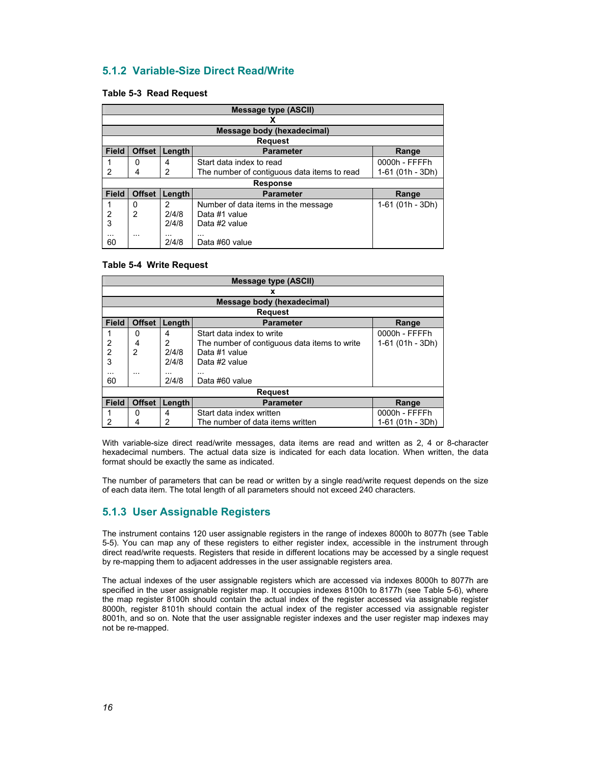### **5.1.2 Variable-Size Direct Read/Write**

#### **Table 5-3 Read Request**

| <b>Message type (ASCII)</b> |               |            |                                             |                  |  |
|-----------------------------|---------------|------------|---------------------------------------------|------------------|--|
|                             |               |            | х                                           |                  |  |
|                             |               |            | Message body (hexadecimal)                  |                  |  |
|                             |               |            | <b>Request</b>                              |                  |  |
| <b>Field</b>                | <b>Offset</b> | Length     | <b>Parameter</b>                            | Range            |  |
|                             | 0             | 4          | Start data index to read                    | 0000h - FFFFh    |  |
| 2                           | 4             | 2          | The number of contiguous data items to read | 1-61 (01h - 3Dh) |  |
|                             |               |            | <b>Response</b>                             |                  |  |
| <b>Field</b>                | <b>Offset</b> | Length     | <b>Parameter</b>                            | Range            |  |
|                             | 0             | 2          | Number of data items in the message         | 1-61 (01h - 3Dh) |  |
| 2                           | 2             | 2/4/8      | Data #1 value                               |                  |  |
| 3                           |               | 2/4/8      | Data #2 value                               |                  |  |
| $\cdots$<br>60              | $\cdots$      | .<br>2/4/8 | .<br>Data #60 value                         |                  |  |

#### **Table 5-4 Write Request**

|                | <b>Message type (ASCII)</b>                          |        |                                              |                  |  |  |  |
|----------------|------------------------------------------------------|--------|----------------------------------------------|------------------|--|--|--|
|                |                                                      |        | x                                            |                  |  |  |  |
|                |                                                      |        | Message body (hexadecimal)                   |                  |  |  |  |
|                |                                                      |        | <b>Request</b>                               |                  |  |  |  |
| <b>Field</b>   | <b>Offset</b><br>Length<br><b>Parameter</b><br>Range |        |                                              |                  |  |  |  |
|                | 0                                                    | 4      | Start data index to write                    | 0000h - FFFFh    |  |  |  |
| 2              | 4                                                    | 2      | The number of contiguous data items to write | 1-61 (01h - 3Dh) |  |  |  |
| $\overline{2}$ | 2                                                    | 2/4/8  | Data #1 value                                |                  |  |  |  |
| 3              |                                                      |        |                                              |                  |  |  |  |
| $\cdots$       |                                                      |        | .                                            |                  |  |  |  |
| 60             |                                                      | 2/4/8  | Data #60 value                               |                  |  |  |  |
|                |                                                      |        | <b>Request</b>                               |                  |  |  |  |
| <b>Field</b>   | <b>Offset</b>                                        | Length | <b>Parameter</b>                             | Range            |  |  |  |
|                | 0                                                    | 4      | Start data index written                     | 0000h - FFFFh    |  |  |  |
| 2              | 4                                                    | 2      | The number of data items written             | 1-61 (01h - 3Dh) |  |  |  |

With variable-size direct read/write messages, data items are read and written as 2, 4 or 8-character hexadecimal numbers. The actual data size is indicated for each data location. When written, the data format should be exactly the same as indicated.

The number of parameters that can be read or written by a single read/write request depends on the size of each data item. The total length of all parameters should not exceed 240 characters.

### **5.1.3 User Assignable Registers**

The instrument contains 120 user assignable registers in the range of indexes 8000h to 8077h (see Table 5-5). You can map any of these registers to either register index, accessible in the instrument through direct read/write requests. Registers that reside in different locations may be accessed by a single request by re-mapping them to adjacent addresses in the user assignable registers area.

The actual indexes of the user assignable registers which are accessed via indexes 8000h to 8077h are specified in the user assignable register map. It occupies indexes 8100h to 8177h (see Table 5-6), where the map register 8100h should contain the actual index of the register accessed via assignable register 8000h, register 8101h should contain the actual index of the register accessed via assignable register 8001h, and so on. Note that the user assignable register indexes and the user register map indexes may not be re-mapped.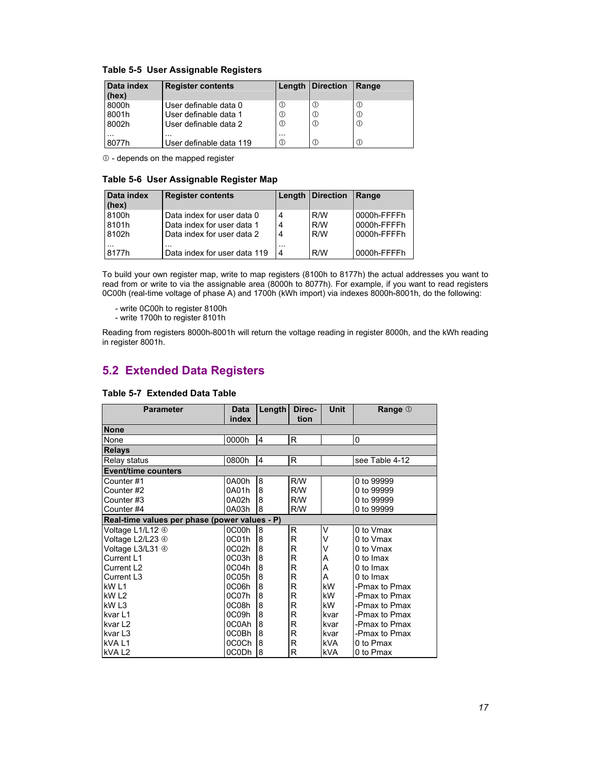| Data index<br>(hex) | <b>Register contents</b> |            | Length   Direction | Range        |
|---------------------|--------------------------|------------|--------------------|--------------|
| 8000h               | User definable data 0    | $^{\circ}$ | Œ                  | $^\circledR$ |
| 8001h               | User definable data 1    | $^{\circ}$ | Œ                  | $^\circledR$ |
| 8002h               | User definable data 2    | $^{\circ}$ | Œ                  | $^{\circ}$   |
| $\cdots$            | $\cdots$                 | $\cdots$   |                    |              |
| 8077h               | User definable data 119  | $^{\circ}$ | Œ                  |              |

 $$\circled{1}$  - depends on the mapped register$ 

### **Table 5-6 User Assignable Register Map**

| Data index<br>(hex) | <b>Register contents</b>     |          | Length   Direction | Range       |
|---------------------|------------------------------|----------|--------------------|-------------|
| 8100h               | Data index for user data 0   | <b>4</b> | R/W                | 0000h-FFFFh |
| 8101h               | Data index for user data 1   | 4        | R/W                | 0000h-FFFFh |
| 8102h               | Data index for user data 2   | -4       | R/W                | 0000h-FFFFh |
| $\cdots$            | .                            | $\cdots$ |                    |             |
| 8177h               | Data index for user data 119 | <b>4</b> | R/W                | 0000h-FFFFh |

To build your own register map, write to map registers (8100h to 8177h) the actual addresses you want to read from or write to via the assignable area (8000h to 8077h). For example, if you want to read registers 0C00h (real-time voltage of phase A) and 1700h (kWh import) via indexes 8000h-8001h, do the following:

- write 0C00h to register 8100h

- write 1700h to register 8101h

Reading from registers 8000h-8001h will return the voltage reading in register 8000h, and the kWh reading in register 8001h.

### **5.2 Extended Data Registers**

| <b>Parameter</b>                              | <b>Data</b> | Length         | Direc- | <b>Unit</b> | Range 1        |
|-----------------------------------------------|-------------|----------------|--------|-------------|----------------|
|                                               | index       |                | tion   |             |                |
| <b>None</b>                                   |             |                |        |             |                |
| None                                          | 0000h       | $\overline{4}$ | R      |             | 0              |
| <b>Relays</b>                                 |             |                |        |             |                |
| Relay status                                  | 0800h       | $\overline{4}$ | R      |             | see Table 4-12 |
| <b>Event/time counters</b>                    |             |                |        |             |                |
| Counter#1                                     | 0A00h       | 8              | R/W    |             | 0 to 99999     |
| Counter #2                                    | 0A01h       | 8              | R/W    |             | 0 to 99999     |
| Counter #3                                    | 0A02h       | 8              | R/W    |             | 0 to 99999     |
| Counter#4                                     | 0A03h       | 8              | R/W    |             | 0 to 99999     |
| Real-time values per phase (power values - P) |             |                |        |             |                |
| Voltage L1/L12 4                              | 0C00h       | 8              | R      | V           | 0 to Vmax      |
| Voltage L2/L23 4                              | 0C01h       | 8              | R      | V           | 0 to Vmax      |
| Voltage L3/L31 4                              | 0C02h       | 8              | R      | ν           | 0 to Vmax      |
| Current L1                                    | 0C03h       | 8              | R      | A           | 0 to Imax      |
| Current L <sub>2</sub>                        | 0C04h       | 8              | R      | A           | 0 to Imax      |
| Current L <sub>3</sub>                        | 0C05h       | 8              | R      | A           | 0 to Imax      |
| kW <sub>L1</sub>                              | 0C06h       | 8              | R      | kW          | -Pmax to Pmax  |
| kW <sub>L2</sub>                              | 0C07h       | 8              | R      | kW          | -Pmax to Pmax  |
| kW L3                                         | 0C08h       | 8              | R      | kW          | -Pmax to Pmax  |
| kvar <sub>L1</sub>                            | 0C09h       | 8              | R      | kvar        | -Pmax to Pmax  |
| kvar L <sub>2</sub>                           | 0C0Ah       | 8              | R      | kvar        | -Pmax to Pmax  |
| kvar L <sub>3</sub>                           | 0C0Bh       | 8              | R      | kvar        | -Pmax to Pmax  |
| kVAL1                                         | 0C0Ch       | 8              | R      | <b>kVA</b>  | 0 to Pmax      |
| kVAL <sub>2</sub>                             | 0C0Dh       | 8              | R      | <b>kVA</b>  | 0 to Pmax      |

#### **Table 5-7 Extended Data Table**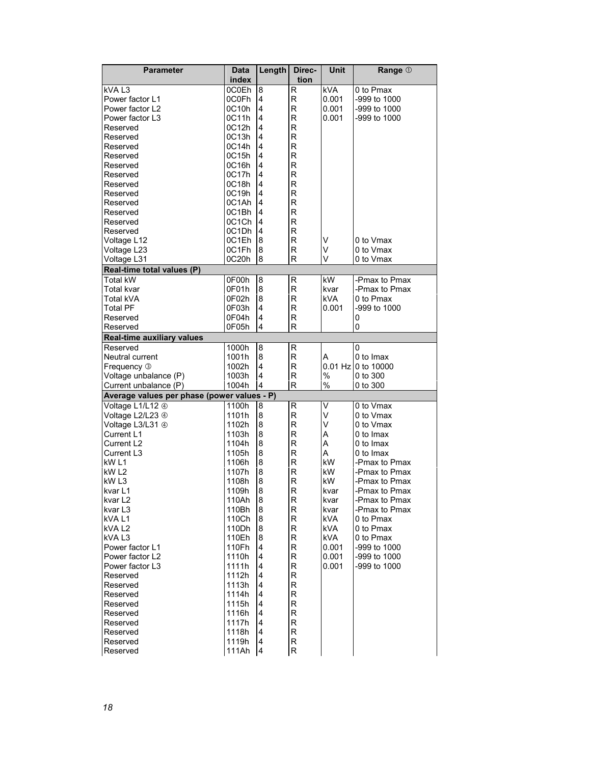| <b>Parameter</b>                            | Data           | Length                  | Direc-  | Unit         | Range 1                        |
|---------------------------------------------|----------------|-------------------------|---------|--------------|--------------------------------|
|                                             | index          |                         | tion    |              |                                |
| kVA L3                                      | 0C0Eh          | 8                       | R       | kVA          | 0 to Pmax                      |
| Power factor L1                             | 0C0Fh          | $\overline{4}$          | R       | 0.001        | -999 to 1000                   |
| Power factor L2                             | 0C10h          | $\overline{4}$          | R       | 0.001        | -999 to 1000                   |
| Power factor L3                             | 0C11h          | $\overline{4}$          | R       | 0.001        | -999 to 1000                   |
| Reserved                                    | 0C12h          | $\overline{4}$          | R       |              |                                |
| Reserved                                    | 0C13h          | 4                       | R       |              |                                |
| Reserved                                    | 0C14h          | $\overline{4}$          | R       |              |                                |
| Reserved                                    | 0C15h          | $\overline{4}$          | R       |              |                                |
| Reserved                                    | 0C16h          | 4                       | R       |              |                                |
| Reserved                                    | 0C17h          | 4                       | R       |              |                                |
| Reserved                                    | 0C18h          | 4                       | R       |              |                                |
| Reserved                                    | 0C19h          | $\overline{4}$          | R       |              |                                |
| Reserved                                    | 0C1Ah          | $\overline{4}$          | R       |              |                                |
| Reserved                                    | 0C1Bh          | 4                       | R       |              |                                |
| Reserved                                    | 0C1Ch          | 4                       | R       |              |                                |
| Reserved                                    | 0C1Dh          | $\overline{4}$          | R       |              |                                |
| Voltage L12                                 | 0C1Eh          | 8                       | R       | v            | 0 to Vmax                      |
| Voltage L23                                 | 0C1Fh          | $\boldsymbol{8}$        | R       | V            | 0 to Vmax                      |
| Voltage L31                                 | 0C20h          | $\boldsymbol{8}$        | R       | v            | 0 to Vmax                      |
| Real-time total values (P)                  |                |                         |         |              |                                |
| Total kW                                    | 0F00h          | 8                       | R       | kW           | -Pmax to Pmax                  |
| Total kvar                                  | 0F01h          | 8                       | R       | kvar         | -Pmax to Pmax                  |
| Total kVA                                   | 0F02h          | 8                       | R       | kVA.         | 0 to Pmax                      |
| <b>Total PF</b>                             | 0F03h          | 4                       | R       | 0.001        | -999 to 1000                   |
| Reserved                                    | 0F04h          | $\overline{4}$          | R       |              | 0                              |
| Reserved                                    | 0F05h          | 4                       | R       |              | 0                              |
| <b>Real-time auxiliary values</b>           |                |                         |         |              |                                |
| Reserved                                    | 1000h          | $\boldsymbol{8}$        | R       |              | 0                              |
| Neutral current                             | 1001h          | $\bf{8}$                | R       | A            | 0 to Imax                      |
| Frequency 3                                 | 1002h          | $\overline{4}$          | R       |              | 0.01 Hz 0 to 10000             |
| Voltage unbalance (P)                       | 1003h          | $\overline{4}$          | R       | $\%$         | 0 to 300                       |
| Current unbalance (P)                       | 1004h          | 4                       | R       | $\%$         | 0 to 300                       |
| Average values per phase (power values - P) |                |                         |         |              |                                |
| Voltage L1/L12 4                            | 1100h          | $\boldsymbol{8}$        | R       | V            | 0 to Vmax                      |
| Voltage L2/L23 4                            | 1101h          | 8                       | R       | V            | 0 to Vmax                      |
| Voltage L3/L31 4                            | 1102h          | 8                       | R       | V            | 0 to Vmax                      |
| Current L1                                  | 1103h          | 8                       | R       | A            | 0 to Imax                      |
| Current L2                                  | 1104h          | 8                       | R       | A            | 0 to Imax                      |
| Current L3                                  | 1105h          | 8                       | R       | A            | 0 to Imax                      |
| kW L1                                       | 1106h          | 8                       | R       | kW           | -Pmax to Pmax                  |
| kW L2<br>kW <sub>L3</sub>                   | 1107h<br>1108h | 8<br>$\boldsymbol{8}$   | R<br>R  | kW<br>kW     | -Pmax to Pmax                  |
| kvar L1                                     | 1109h          | 8                       | R       |              | -Pmax to Pmax<br>-Pmax to Pmax |
|                                             |                |                         |         | kvar         |                                |
| kvar L2<br>kvar L3                          | 110Ah<br>110Bh | 8<br>$\bf 8$            | R.<br>R | kvar<br>kvar | -Pmax to Pmax<br>-Pmax to Pmax |
| kVAL1                                       | 110Ch          | 8                       | R       | <b>kVA</b>   | 0 to Pmax                      |
| kVA L <sub>2</sub>                          | 110Dh          | $\bf 8$                 | R.      | <b>kVA</b>   | 0 to Pmax                      |
| kVAL3                                       | 110Eh          | $\bf 8$                 | R       | <b>kVA</b>   | 0 to Pmax                      |
| Power factor L1                             | 110Fh          | $\overline{\mathbf{4}}$ | R       | 0.001        | -999 to 1000                   |
| Power factor L2                             | 1110h          | 4                       | R       | 0.001        | -999 to 1000                   |
| Power factor L3                             | 1111h          | 4                       | R       | 0.001        | -999 to 1000                   |
| Reserved                                    | 1112h          | $\overline{4}$          | R       |              |                                |
| Reserved                                    | 1113h          | 4                       | R       |              |                                |
| Reserved                                    | 1114h          | 4                       | R       |              |                                |
| Reserved                                    | 1115h          | $\overline{4}$          | R       |              |                                |
| Reserved                                    | 1116h          | $\overline{\mathbf{4}}$ | R       |              |                                |
| Reserved                                    | 1117h          | 4                       | R       |              |                                |
| Reserved                                    | 1118h          | 4                       | R       |              |                                |
| Reserved                                    | 1119h          | 4                       | R       |              |                                |
| Reserved                                    | 111Ah          | $\overline{4}$          | R       |              |                                |
|                                             |                |                         |         |              |                                |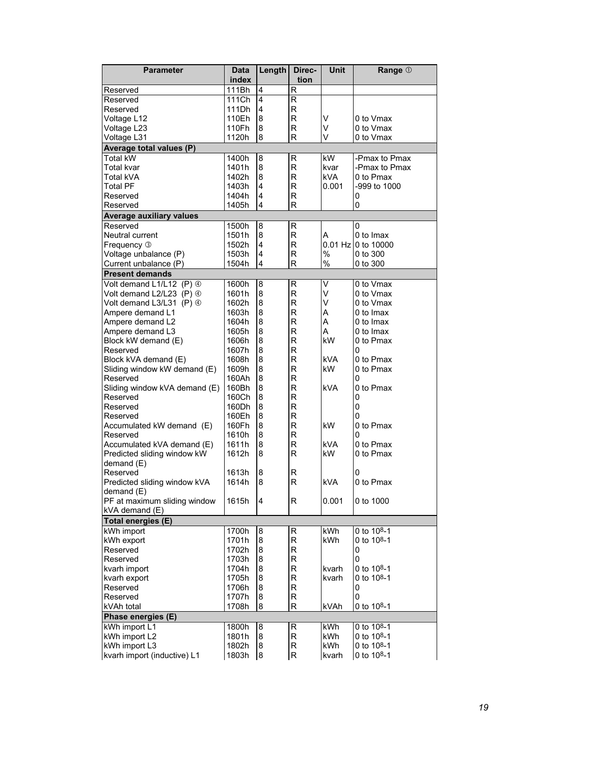| <b>Parameter</b>                | Data           | Length         | Direc-       | Unit          | Range 1                  |
|---------------------------------|----------------|----------------|--------------|---------------|--------------------------|
|                                 | index          |                | tion         |               |                          |
| Reserved                        | 111Bh          | 4              | R            |               |                          |
| Reserved                        | 111Ch          | 4              | R            |               |                          |
| Reserved                        | 111Dh          | $\overline{4}$ | R            |               |                          |
| Voltage L12                     | 110Eh          | 8              | R            | V             | 0 to Vmax                |
| Voltage L23                     | 110Fh          | 8              | R            | V             | 0 to Vmax                |
| Voltage L31                     | 1120h          | 8              | R            | V             | 0 to Vmax                |
| Average total values (P)        |                |                |              |               |                          |
| Total kW                        | 1400h          | 8              | R            | kW            | -Pmax to Pmax            |
| Total kvar                      | 1401h          | 8              | R            | kvar          | -Pmax to Pmax            |
| Total kVA                       | 1402h          | 8              | $\mathsf{R}$ | kVA.          | 0 to Pmax                |
| Total PF                        | 1403h          | 4              | R            | 0.001         | -999 to 1000             |
| Reserved                        | 1404h          | $\overline{4}$ | R            |               | 0                        |
| Reserved                        | 1405h          | $\overline{4}$ | R            |               | 0                        |
| <b>Average auxiliary values</b> |                |                |              |               |                          |
| Reserved                        | 1500h          | 8              | R            |               | 0                        |
| Neutral current                 | 1501h          | 8              | R            | A             | 0 to Imax                |
| Frequency 3                     | 1502h          | 4              | R            |               | 0.01 Hz 0 to 10000       |
| Voltage unbalance (P)           | 1503h          | 4              | R            | $\frac{0}{0}$ | $0$ to $300$             |
| Current unbalance (P)           | 1504h          | 4              | R            | $\%$          | 0 to 300                 |
| <b>Present demands</b>          |                |                |              |               |                          |
| Volt demand L1/L12 (P) 4        | 1600h          | 8              | R            | V             | 0 to Vmax                |
| Volt demand L2/L23 (P) 4        | 1601h          | 8              | $\mathsf{R}$ | V             | 0 to Vmax                |
| Volt demand L3/L31 (P) 4        | 1602h          | 8              | R            | V             | 0 to Vmax                |
| Ampere demand L1                | 1603h          | 8              | R            | A             | 0 to Imax                |
| Ampere demand L2                | 1604h          | 8              | R            | A             | 0 to Imax                |
| Ampere demand L3                | 1605h          | 8              | R            | A             | 0 to Imax                |
| Block kW demand (E)             | 1606h          | 8              | R            | kW            | 0 to Pmax                |
| Reserved                        | 1607h          | 8              | R            |               | 0                        |
| Block kVA demand (E)            | 1608h          | 8              | R            | kVA           | 0 to Pmax                |
| Sliding window kW demand (E)    | 1609h          | 8              | R            | kW            | 0 to Pmax                |
| Reserved                        | 160Ah          | 8              | R            |               | 0                        |
| Sliding window kVA demand (E)   | 160Bh          | 8              | R            | kVA           | 0 to Pmax                |
| Reserved                        | 160Ch          | 8              | R            |               | 0                        |
| Reserved                        | 160Dh          | 8              | R            |               | 0                        |
| Reserved                        | 160Eh          | 8              | R            |               | 0                        |
| Accumulated kW demand (E)       | 160Fh          | 8              | R            | kW            | 0 to Pmax                |
| Reserved                        | 1610h          | 8              | R            |               | 0                        |
| Accumulated kVA demand (E)      | 1611h          | 8              | R            | kVA           | 0 to Pmax                |
| Predicted sliding window kW     | 1612h          | 8              | R            | kW.           | 0 to Pmax                |
| demand(E)                       |                |                |              |               |                          |
| Reserved                        | 1613h          | 8              | R            |               | 0                        |
| Predicted sliding window kVA    | 1614h          | 8              | $\mathsf{R}$ | kVA           | 0 to Pmax                |
| demand (E)                      |                |                |              |               |                          |
| PF at maximum sliding window    | 1615h          | 4              | R            | 0.001         | 0 to 1000                |
| kVA demand (E)                  |                |                |              |               |                          |
| Total energies (E)              |                |                |              |               |                          |
| kWh import                      | 1700h          | 8              | R            | kWh           | 0 to $10^{8}-1$          |
| kWh export                      | 1701h          | 8              | R            | kWh           | 0 to 108-1               |
| Reserved                        | 1702h          | 8              | R            |               | 0                        |
| Reserved                        | 1703h<br>1704h | 8              | R            |               | 0                        |
| kvarh import                    |                | 8              | R            | kvarh         | 0 to 108-1               |
| kvarh export<br>Reserved        | 1705h<br>1706h | 8<br>8         | R<br>R       | kvarh         | 0 to $10^{8} - 1$        |
|                                 | 1707h          |                |              |               | 0                        |
| Reserved                        |                | 8              | R            |               | 0                        |
| kVAh total                      | 1708h          | 8              | R            | kVAh          | 0 to 108-1               |
| Phase energies (E)              |                |                |              |               |                          |
| kWh import L1                   | 1800h          | 8              | R            | kWh           | 0 to 108-1               |
| kWh import L2                   | 1801h          | 8              | R<br>R       | kWh<br>kWh    | 0 to 108-1<br>0 to 108-1 |
| kWh import L3                   | 1802h          | 8              |              |               |                          |
| kvarh import (inductive) L1     | 1803h          | 8              | R            | kvarh         | 0 to 108-1               |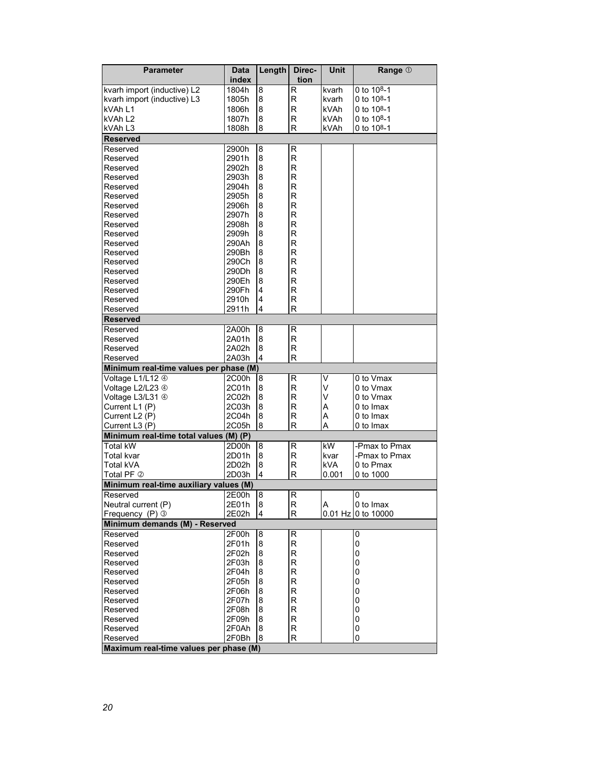| <b>Parameter</b>                       | Data<br>index  | Length           | Direc-<br>tion | Unit       | Range 1                 |
|----------------------------------------|----------------|------------------|----------------|------------|-------------------------|
| kvarh import (inductive) L2            | 1804h          | 8                | R              | kvarh      | 0 to 108-1              |
| kvarh import (inductive) L3            | 1805h          | 8                | R              | kvarh      | 0 to 108-1              |
| kVAh L1                                | 1806h          | 8                | $\mathsf{R}$   | kVAh       | 0 to $10^{8} - 1$       |
| kVAh L <sub>2</sub>                    | 1807h          | 8                | R              | kVAh       | 0 to 10 <sup>8</sup> -1 |
| kVAh L3                                | 1808h          | 8                | $\mathsf{R}$   | kVAh       | 0 to $10^{8} - 1$       |
| <b>Reserved</b>                        |                |                  |                |            |                         |
| Reserved                               | 2900h          | 8                | R              |            |                         |
| Reserved                               | 2901h          | 8                | R              |            |                         |
| Reserved                               | 2902h          | 8                | R              |            |                         |
| Reserved                               | 2903h          | 8                | R              |            |                         |
| Reserved                               | 2904h          | 8                | R              |            |                         |
| Reserved                               | 2905h          | 8                | R              |            |                         |
| Reserved                               | 2906h          | 8                | $\mathsf{R}$   |            |                         |
| Reserved                               | 2907h          | 8                | $\mathsf{R}$   |            |                         |
| Reserved                               | 2908h          | 8                | $\mathsf{R}$   |            |                         |
| Reserved                               | 2909h          | 8                | R              |            |                         |
| Reserved                               | 290Ah          | 8                | $\mathsf{R}$   |            |                         |
| Reserved                               | 290Bh          | 8                | R              |            |                         |
| Reserved                               | 290Ch          | 8                | $\mathsf{R}$   |            |                         |
| Reserved                               | 290Dh          | 8                | $\mathsf{R}$   |            |                         |
| Reserved                               | 290Eh          | 8                | $\mathsf{R}$   |            |                         |
| Reserved                               | 290Fh          | 4                | $\mathsf{R}$   |            |                         |
| Reserved                               | 2910h          | 4                | R              |            |                         |
| Reserved                               | 2911h          | 4                | R              |            |                         |
| <b>Reserved</b>                        |                |                  |                |            |                         |
| Reserved                               | 2A00h          | 8                | R              |            |                         |
| Reserved                               | 2A01h          | 8                | $\mathsf{R}$   |            |                         |
| Reserved                               | 2A02h          | 8                | $\mathsf{R}$   |            |                         |
| Reserved                               | 2A03h          | 4                | R              |            |                         |
| Minimum real-time values per phase (M) |                |                  |                |            |                         |
| Voltage L1/L12 4                       | 2C00h          | 8                | R<br>R         | ٧          | 0 to Vmax               |
| Voltage L2/L23 4                       | 2C01h<br>2C02h | 8                | R              | V<br>V     | 0 to Vmax<br>0 to Vmax  |
| Voltage L3/L31 4<br>Current L1 (P)     | 2C03h          | 8<br>8           | R              | A          | 0 to Imax               |
| Current L <sub>2</sub> (P)             | 2C04h          | $\bf 8$          | R              | A          | 0 to Imax               |
| Current L3 (P)                         | 2C05h          | 8                | R              | Α          | 0 to Imax               |
| Minimum real-time total values (M) (P) |                |                  |                |            |                         |
| <b>Total kW</b>                        | 2D00h          | 8                | R              | kW         | -Pmax to Pmax           |
| Total kvar                             | 2D01h          | 8                | R              | kvar       | -Pmax to Pmax           |
| Total kVA                              | 2D02h          | 8                | R              | <b>kVA</b> | 0 to Pmax               |
| Total PF 2                             | 2D03h          | 4                | R              | 0.001      | 0 to 1000               |
| Minimum real-time auxiliary values (M) |                |                  |                |            |                         |
| Reserved                               | 2E00h          | 8                | R              |            | $\Omega$                |
| Neutral current (P)                    | 2E01h          | $\boldsymbol{8}$ | R              | Α          | 0 to Imax               |
| Frequency (P) 3                        | 2E02h          | 4                | R.             |            | 0.01 Hz 0 to 10000      |
| Minimum demands (M) - Reserved         |                |                  |                |            |                         |
| Reserved                               | 2F00h          | 8                | R              |            | 0                       |
| Reserved                               | 2F01h          | 8                | R              |            | 0                       |
| Reserved                               | 2F02h          | 8                | R              |            | 0                       |
| Reserved                               | 2F03h          | 8                | R              |            | 0                       |
| Reserved                               | 2F04h          | 8                | R              |            | 0                       |
| Reserved                               | 2F05h          | 8                | R              |            | 0                       |
| Reserved                               | 2F06h          | 8                | R              |            | 0                       |
| Reserved                               | 2F07h          | 8                | R              |            | 0                       |
| Reserved                               | 2F08h          | 8                | R              |            | 0                       |
| Reserved                               | 2F09h          | 8                | R              |            | 0                       |
| Reserved                               | 2F0Ah          | 8                | R              |            | 0                       |
| Reserved                               | 2F0Bh          | 8                | R              |            | 0                       |
| Maximum real-time values per phase (M) |                |                  |                |            |                         |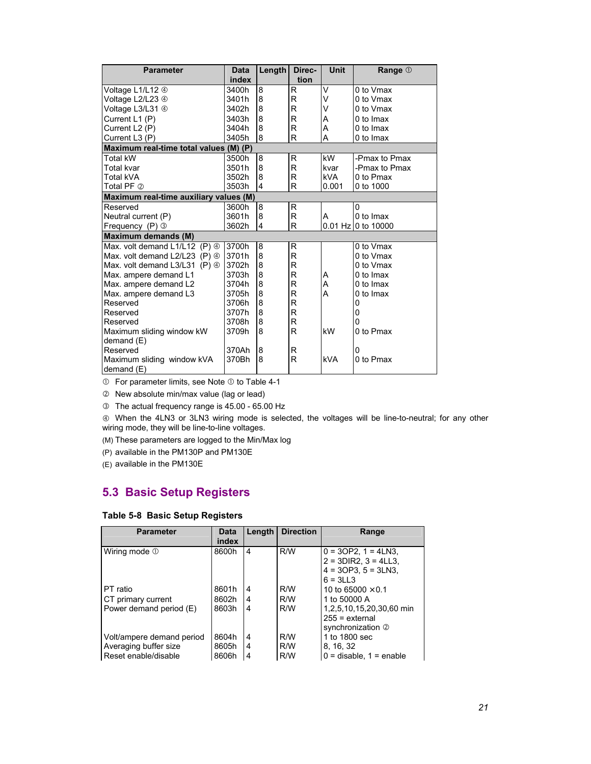| <b>Parameter</b>                             | <b>Data</b> | Length                  | Direc- | Unit       | Range 1            |  |
|----------------------------------------------|-------------|-------------------------|--------|------------|--------------------|--|
|                                              | index       |                         | tion   |            |                    |  |
| Voltage L1/L12 4                             | 3400h       | 8                       | R      | V          | 0 to Vmax          |  |
| Voltage L2/L23 4                             | 3401h       | 8                       | R      | v          | 0 to Vmax          |  |
| Voltage L3/L31 4                             | 3402h       | 8                       | R      | V          | 0 to Vmax          |  |
| Current L1 (P)                               | 3403h       | 8                       | R      | A          | 0 to Imax          |  |
| Current L2 (P)                               | 3404h       | 8                       | R      | А          | 0 to Imax          |  |
| Current L3 (P)                               | 3405h       | 8                       | R      | A          | 0 to Imax          |  |
| Maximum real-time total values (M) (P)       |             |                         |        |            |                    |  |
| Total kW                                     | 3500h       | 8                       | R      | kW.        | -Pmax to Pmax      |  |
| Total kvar                                   | 3501h       | 8                       | R      | kvar       | -Pmax to Pmax      |  |
| Total kVA                                    | 3502h       | 8                       | R      | kVA.       | 0 to Pmax          |  |
| Total PF 2                                   | 3503h       | $\overline{\mathbf{4}}$ | R      | 0.001      | 0 to 1000          |  |
| Maximum real-time auxiliary values (M)       |             |                         |        |            |                    |  |
| Reserved                                     | 3600h       | 8                       | R      |            | 0                  |  |
| Neutral current (P)                          | 3601h       | 8                       | R      | A          | 0 to Imax          |  |
| Frequency $(P)$ 3                            | 3602h       | 4                       | R      |            | 0.01 Hz 0 to 10000 |  |
| <b>Maximum demands (M)</b>                   |             |                         |        |            |                    |  |
| Max. volt demand L1/L12 (P) 4                | 3700h       | 8                       | R      |            | 0 to Vmax          |  |
| Max. volt demand $L2/L23$ (P) $\circledcirc$ | 3701h       | 8                       | R      |            | 0 to Vmax          |  |
| Max. volt demand L3/L31 (P) 4                | 3702h       | 8                       | R      |            | 0 to Vmax          |  |
| Max. ampere demand L1                        | 3703h       | 8                       | R      | A          | 0 to Imax          |  |
| Max. ampere demand L2                        | 3704h       | 8                       | R      | A          | 0 to Imax          |  |
| Max. ampere demand L3                        | 3705h       | 8                       | R      | A          | 0 to Imax          |  |
| Reserved                                     | 3706h       | 8                       | R      |            | 0                  |  |
| Reserved                                     | 3707h       | 8                       | R      |            | 0                  |  |
| Reserved                                     | 3708h       | 8                       | R      |            | 0                  |  |
| Maximum sliding window kW                    | 3709h       | 8                       | R      | kW         | 0 to Pmax          |  |
| demand (E)                                   |             |                         |        |            |                    |  |
| Reserved                                     | 370Ah       | 8                       | R      |            | 0                  |  |
| Maximum sliding window kVA                   | 370Bh       | 8                       | R      | <b>kVA</b> | 0 to Pmax          |  |
| demand $(E)$                                 |             |                         |        |            |                    |  |

 $O$  For parameter limits, see Note  $O$  to Table 4-1

d New absolute min/max value (lag or lead)

e The actual frequency range is 45.00 - 65.00 Hz

 $\circledast$  When the 4LN3 or 3LN3 wiring mode is selected, the voltages will be line-to-neutral; for any other wiring mode, they will be line-to-line voltages.

(M) These parameters are logged to the Min/Max log

(P) available in the PM130P and PM130E

(E) available in the PM130E

### **5.3 Basic Setup Registers**

### **Table 5-8 Basic Setup Registers**

| <b>Parameter</b>          | <b>Data</b><br>index | Length | <b>Direction</b> | Range                       |
|---------------------------|----------------------|--------|------------------|-----------------------------|
| Wiring mode 1             | 8600h                | 4      | R/W              | $0 = 3OP2$ , $1 = 4LN3$ ,   |
|                           |                      |        |                  | $2 = 3DIR2$ , $3 = 4LL3$ ,  |
|                           |                      |        |                  | $4 = 3OP3$ , $5 = 3LN3$ ,   |
|                           |                      |        |                  | $6 = 3LL3$                  |
| I PT ratio                | 8601h                | 4      | R/W              | 10 to 65000 $\times$ 0.1    |
| CT primary current        | 8602h                | 4      | R/W              | 1 to 50000 A                |
| Power demand period (E)   | 8603h                | 4      | R/W              | 1.2.5.10.15.20.30.60 min    |
|                           |                      |        |                  | $255$ = external            |
|                           |                      |        |                  | synchronization 2           |
| Volt/ampere demand period | 8604h                | 4      | R/W              | 1 to 1800 sec               |
| Averaging buffer size     | 8605h                | 4      | R/W              | 8, 16, 32                   |
| Reset enable/disable      | 8606h                | 4      | R/W              | $0 =$ disable, $1 =$ enable |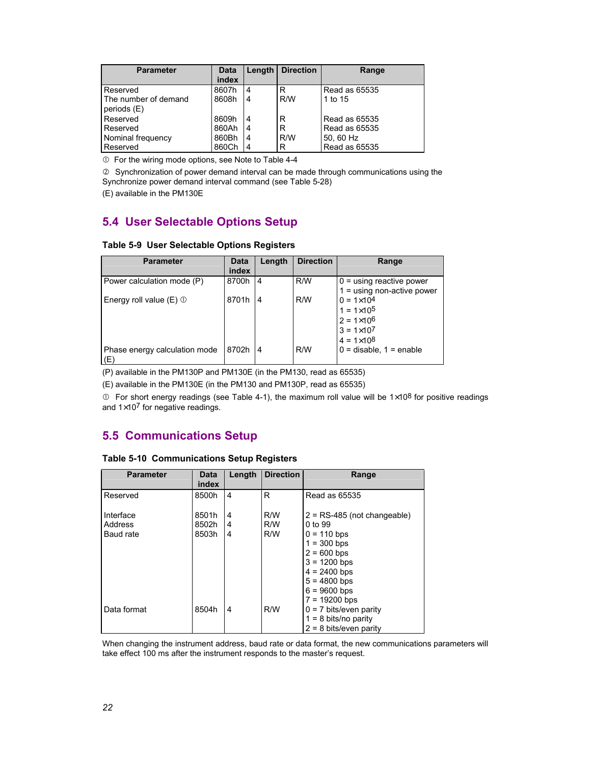| <b>Parameter</b>                    | Data<br>index | Length | <b>Direction</b> | Range         |
|-------------------------------------|---------------|--------|------------------|---------------|
| Reserved                            | 8607h         | 4      | R                | Read as 65535 |
| The number of demand<br>periods (E) | 8608h         | 4      | R/W              | 1 to 15       |
| Reserved                            | 8609h         | 4      | R                | Read as 65535 |
| Reserved                            | 860Ah         | 4      | R                | Read as 65535 |
| Nominal frequency                   | 860Bh         | 4      | R/W              | 50, 60 Hz     |
| Reserved                            | 860Ch         | 4      | R                | Read as 65535 |

 $O$  For the wiring mode options, see Note to Table 4-4

d Synchronization of power demand interval can be made through communications using the Synchronize power demand interval command (see Table 5-28)

(E) available in the PM130E

### **5.4 User Selectable Options Setup**

#### **Table 5-9 User Selectable Options Registers**

| <b>Parameter</b>                     | <b>Data</b> | Length | <b>Direction</b> | Range                        |
|--------------------------------------|-------------|--------|------------------|------------------------------|
|                                      | index       |        |                  |                              |
| Power calculation mode (P)           | 8700h       | 4      | R/W              | $0 =$ using reactive power   |
|                                      |             |        |                  | $1 =$ using non-active power |
| Energy roll value $(E)$ $\odot$      | 8701h       | 4      | R/W              | $0 = 1 \times 10^{4}$        |
|                                      |             |        |                  | $1 = 1 \times 10^5$          |
|                                      |             |        |                  | $2 = 1 \times 10^6$          |
|                                      |             |        |                  | $3 = 1 \times 10^{7}$        |
|                                      |             |        |                  | $4 = 1 \times 10^8$          |
| Phase energy calculation mode<br>(E) | 8702h       | 4      | R/W              | $0 =$ disable, $1 =$ enable  |

(P) available in the PM130P and PM130E (in the PM130, read as 65535)

(E) available in the PM130E (in the PM130 and PM130P, read as 65535)

 $\degree$  For short energy readings (see Table 4-1), the maximum roll value will be 1×10<sup>8</sup> for positive readings and  $1\times10^7$  for negative readings.

### **5.5 Communications Setup**

| <b>Parameter</b> | <b>Data</b><br>index | Length | <b>Direction</b> | Range                                                                                                                                      |
|------------------|----------------------|--------|------------------|--------------------------------------------------------------------------------------------------------------------------------------------|
| Reserved         | 8500h                | 4      | R                | Read as 65535                                                                                                                              |
| Interface        | 8501h                | 4      | R/W              | $2 = RS-485$ (not changeable)                                                                                                              |
| Address          | 8502h                | 4      | R/W              | 0 to 99                                                                                                                                    |
| Baud rate        | 8503h                | 4      | R/W              | $0 = 110$ bps<br>$1 = 300$ bps<br>$2 = 600$ bps<br>$3 = 1200$ bps<br>$4 = 2400$ bps<br>$5 = 4800$ bps<br>$6 = 9600$ bps<br>$7 = 19200$ bps |
| Data format      | 8504h                | 4      | R/W              | $0 = 7$ bits/even parity<br>$1 = 8$ bits/no parity<br>$2 = 8$ bits/even parity                                                             |

#### **Table 5-10 Communications Setup Registers**

When changing the instrument address, baud rate or data format, the new communications parameters will take effect 100 ms after the instrument responds to the master's request.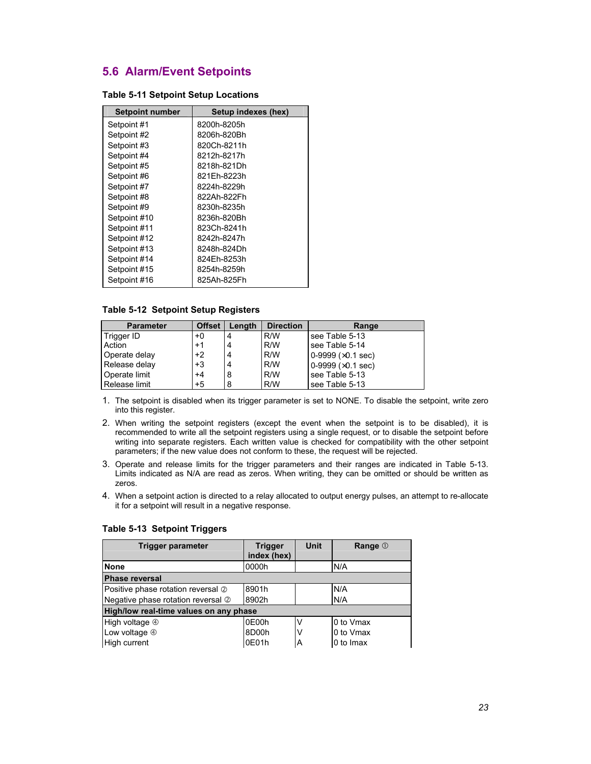### **5.6 Alarm/Event Setpoints**

| <b>Setpoint number</b> | Setup indexes (hex) |
|------------------------|---------------------|
| Setpoint #1            | 8200h-8205h         |
| Setpoint #2            | 8206h-820Bh         |
| Setpoint #3            | 820Ch-8211h         |
| Setpoint #4            | 8212h-8217h         |
| Setpoint #5            | 8218h-821Dh         |
| Setpoint #6            | 821Fh-8223h         |
| Setpoint #7            | 8224h-8229h         |
| Setpoint #8            | 822Ah-822Fh         |
| Setpoint #9            | 8230h-8235h         |
| Setpoint #10           | 8236h-820Bh         |
| Setpoint #11           | 823Ch-8241h         |
| Setpoint #12           | 8242h-8247h         |
| Setpoint #13           | 8248h-824Dh         |
| Setpoint #14           | 824Eh-8253h         |
| Setpoint #15           | 8254h-8259h         |
| Setpoint #16           | 825Ah-825Fh         |

#### **Table 5-11 Setpoint Setup Locations**

### **Table 5-12 Setpoint Setup Registers**

| <b>Parameter</b> | <b>Offset</b> | Length | <b>Direction</b> | Range                        |
|------------------|---------------|--------|------------------|------------------------------|
| ∣ Trigger ID     | $+0$          | 4      | R/W              | see Table 5-13               |
| Action           | $+1$          | 4      | R/W              | see Table 5-14               |
| Operate delay    | $+2$          | 4      | R/W              | $0-9999$ ( $\times$ 0.1 sec) |
| Release delay    | $+3$          | 4      | R/W              | 0-9999 $(x0.1 sec)$          |
| Operate limit    | $+4$          | 8      | R/W              | see Table 5-13               |
| l Release limit  | $+5$          | 8      | R/W              | see Table 5-13               |

- 1. The setpoint is disabled when its trigger parameter is set to NONE. To disable the setpoint, write zero into this register.
- 2. When writing the setpoint registers (except the event when the setpoint is to be disabled), it is recommended to write all the setpoint registers using a single request, or to disable the setpoint before writing into separate registers. Each written value is checked for compatibility with the other setpoint parameters; if the new value does not conform to these, the request will be rejected.
- 3. Operate and release limits for the trigger parameters and their ranges are indicated in Table 5-13. Limits indicated as N/A are read as zeros. When writing, they can be omitted or should be written as zeros.
- 4. When a setpoint action is directed to a relay allocated to output energy pulses, an attempt to re-allocate it for a setpoint will result in a negative response.

| <b>Trigger parameter</b>               | <b>Trigger</b><br>index (hex) | <b>Unit</b> | Range 1   |
|----------------------------------------|-------------------------------|-------------|-----------|
| <b>None</b>                            | 0000h                         |             | N/A       |
| <b>Phase reversal</b>                  |                               |             |           |
| Positive phase rotation reversal 2     | 8901h                         |             | N/A       |
| Negative phase rotation reversal 2     | 8902h                         |             | N/A       |
| High/low real-time values on any phase |                               |             |           |
| High voltage 4                         | 0E00h                         | v           | 0 to Vmax |
| Low voltage $@$                        | 8D00h                         | ν           | 0 to Vmax |
| High current                           | 0E01h                         | Α           | 0 to Imax |

#### **Table 5-13 Setpoint Triggers**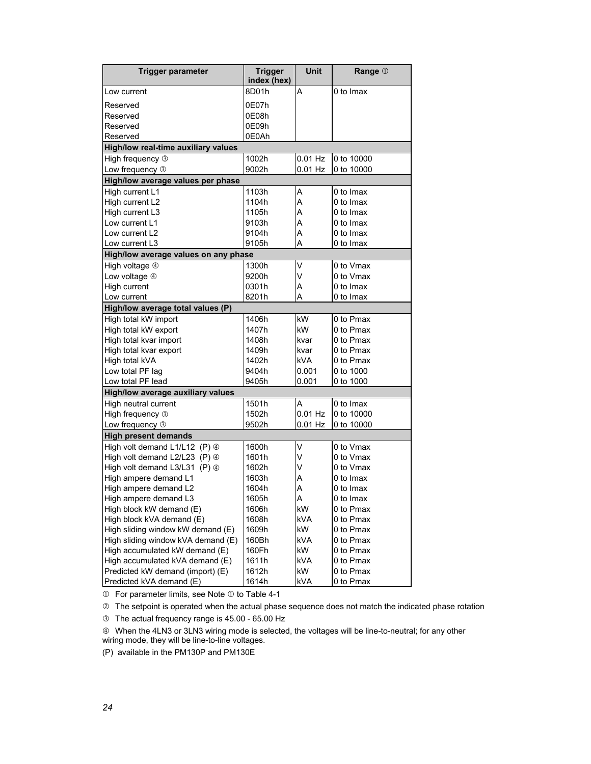| <b>Trigger parameter</b>                     | <b>Trigger</b><br>index (hex) | Unit       | Range 1    |  |  |
|----------------------------------------------|-------------------------------|------------|------------|--|--|
| Low current                                  | 8D01h                         | A          | 0 to Imax  |  |  |
| Reserved                                     | 0E07h                         |            |            |  |  |
| Reserved                                     | 0E08h                         |            |            |  |  |
| Reserved                                     | 0E09h                         |            |            |  |  |
| Reserved                                     | 0E0Ah                         |            |            |  |  |
| High/low real-time auxiliary values          |                               |            |            |  |  |
| High frequency 3                             | 1002h                         | $0.01$ Hz  | 0 to 10000 |  |  |
| Low frequency 3                              | 9002h                         | $0.01$ Hz  | 0 to 10000 |  |  |
| High/low average values per phase            |                               |            |            |  |  |
| High current L1                              | 1103h                         | A          | 0 to Imax  |  |  |
| High current L2                              | 1104h                         | A          | 0 to Imax  |  |  |
| High current L3                              | 1105h                         | A          | 0 to Imax  |  |  |
| Low current L1                               | 9103h                         | A          | 0 to Imax  |  |  |
| Low current L2                               | 9104h                         | A          | 0 to Imax  |  |  |
| Low current L3                               | 9105h                         | А          | 0 to Imax  |  |  |
| High/low average values on any phase         |                               |            |            |  |  |
| High voltage 4                               | 1300h                         | V          | 0 to Vmax  |  |  |
| Low voltage 4                                | 9200h                         | V          | 0 to Vmax  |  |  |
| High current                                 | 0301h                         | A          | 0 to Imax  |  |  |
| Low current                                  | 8201h                         | Α          | 0 to Imax  |  |  |
| High/low average total values (P)            |                               |            |            |  |  |
| High total kW import                         | 1406h                         | kW         | 0 to Pmax  |  |  |
| High total kW export                         | 1407h                         | kW         | 0 to Pmax  |  |  |
| High total kvar import                       | 1408h                         | kvar       | 0 to Pmax  |  |  |
| High total kvar export                       | 1409h                         | kvar       | 0 to Pmax  |  |  |
| High total kVA                               | 1402h                         | kVA        | 0 to Pmax  |  |  |
| Low total PF lag                             | 9404h                         | 0.001      | 0 to 1000  |  |  |
| Low total PF lead                            | 9405h                         | 0.001      | 0 to 1000  |  |  |
| High/low average auxiliary values            |                               |            |            |  |  |
| High neutral current                         | 1501h                         | A          | 0 to Imax  |  |  |
| High frequency 3                             | 1502h                         | $0.01$ Hz  | 0 to 10000 |  |  |
| Low frequency 3                              | 9502h                         | $0.01$ Hz  | 0 to 10000 |  |  |
| <b>High present demands</b>                  |                               |            |            |  |  |
| High volt demand L1/L12 (P) 4                | 1600h                         | V          | 0 to Vmax  |  |  |
| High volt demand L2/L23 $(P)$ $\circledcirc$ | 1601h                         | V          | 0 to Vmax  |  |  |
| High volt demand L3/L31 (P) 4                | 1602h                         | V          | 0 to Vmax  |  |  |
| High ampere demand L1                        | 1603h                         | Α          | 0 to Imax  |  |  |
| High ampere demand L2                        | 1604h                         | A          | 0 to Imax  |  |  |
| High ampere demand L3                        | 1605h                         | A          | 0 to Imax  |  |  |
| High block kW demand (E)                     | 1606h                         | kW         | 0 to Pmax  |  |  |
| High block kVA demand (E)                    | 1608h                         | <b>kVA</b> | 0 to Pmax  |  |  |
| High sliding window kW demand (E)            | 1609h                         | <b>kW</b>  | 0 to Pmax  |  |  |
| High sliding window kVA demand (E)           | 160Bh                         | <b>kVA</b> | 0 to Pmax  |  |  |
| High accumulated kW demand (E)               | 160Fh                         | kW         | 0 to Pmax  |  |  |
| High accumulated kVA demand (E)              | 1611h                         | kVA        | 0 to Pmax  |  |  |
| Predicted kW demand (import) (E)             | 1612h                         | kW         | 0 to Pmax  |  |  |
| Predicted kVA demand (E)                     | 1614h                         | kVA        | 0 to Pmax  |  |  |

 $O$  For parameter limits, see Note  $O$  to Table 4-1

d The setpoint is operated when the actual phase sequence does not match the indicated phase rotation

e The actual frequency range is 45.00 - 65.00 Hz

 $@$  When the 4LN3 or 3LN3 wiring mode is selected, the voltages will be line-to-neutral; for any other wiring mode, they will be line-to-line voltages.

(P) available in the PM130P and PM130E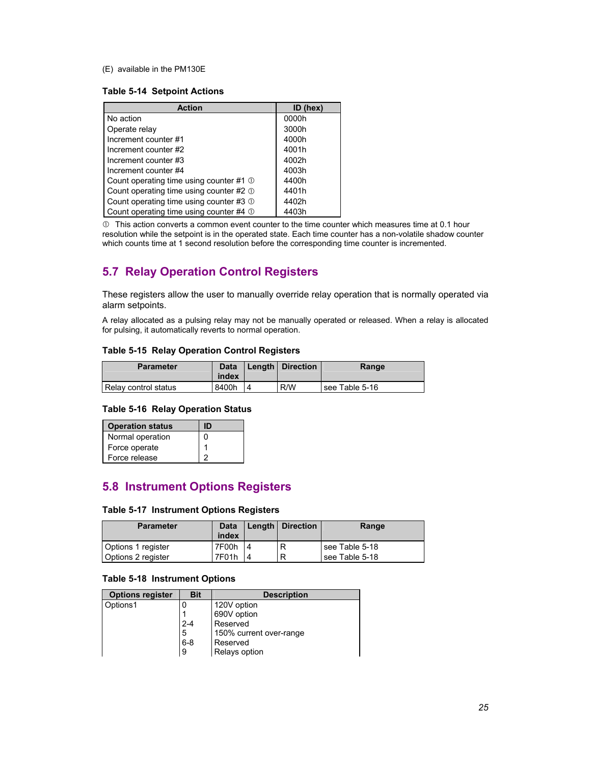(E) available in the PM130E

#### **Table 5-14 Setpoint Actions**

| <b>Action</b>                           | $ID$ (hex) |
|-----------------------------------------|------------|
| No action                               | 0000h      |
| Operate relay                           | 3000h      |
| Increment counter #1                    | 4000h      |
| Increment counter #2                    | 4001h      |
| Increment counter #3                    | 4002h      |
| Increment counter #4                    | 4003h      |
| Count operating time using counter #1 ① | 4400h      |
| Count operating time using counter #2 0 | 4401h      |
| Count operating time using counter #3 ① | 4402h      |
| Count operating time using counter #4 0 | 4403h      |

 $\Phi$  This action converts a common event counter to the time counter which measures time at 0.1 hour resolution while the setpoint is in the operated state. Each time counter has a non-volatile shadow counter which counts time at 1 second resolution before the corresponding time counter is incremented.

### **5.7 Relay Operation Control Registers**

These registers allow the user to manually override relay operation that is normally operated via alarm setpoints.

A relay allocated as a pulsing relay may not be manually operated or released. When a relay is allocated for pulsing, it automatically reverts to normal operation.

### **Table 5-15 Relay Operation Control Registers**

| <b>Parameter</b>     | <b>Data</b><br>index | Length   Direction | Range          |
|----------------------|----------------------|--------------------|----------------|
| Relay control status | 8400h                | R/W                | see Table 5-16 |

#### **Table 5-16 Relay Operation Status**

| <b>Operation status</b> | D |
|-------------------------|---|
| Normal operation        | ŋ |
| Force operate           |   |
| Force release           | o |

### **5.8 Instrument Options Registers**

### **Table 5-17 Instrument Options Registers**

| <b>Parameter</b>   | Data  |    | <b>Length Direction</b> | Range          |
|--------------------|-------|----|-------------------------|----------------|
|                    | index |    |                         |                |
| Options 1 register | 7F00h | 14 | R                       | see Table 5-18 |
| Options 2 register | 7F01h |    | R                       | see Table 5-18 |

### **Table 5-18 Instrument Options**

| <b>Options register</b> | <b>Bit</b> | <b>Description</b>      |
|-------------------------|------------|-------------------------|
| Options1                | 0          | 120V option             |
|                         |            | 690V option             |
|                         | $2 - 4$    | Reserved                |
|                         | 5          | 150% current over-range |
|                         | $6 - 8$    | Reserved                |
|                         | 9          | Relays option           |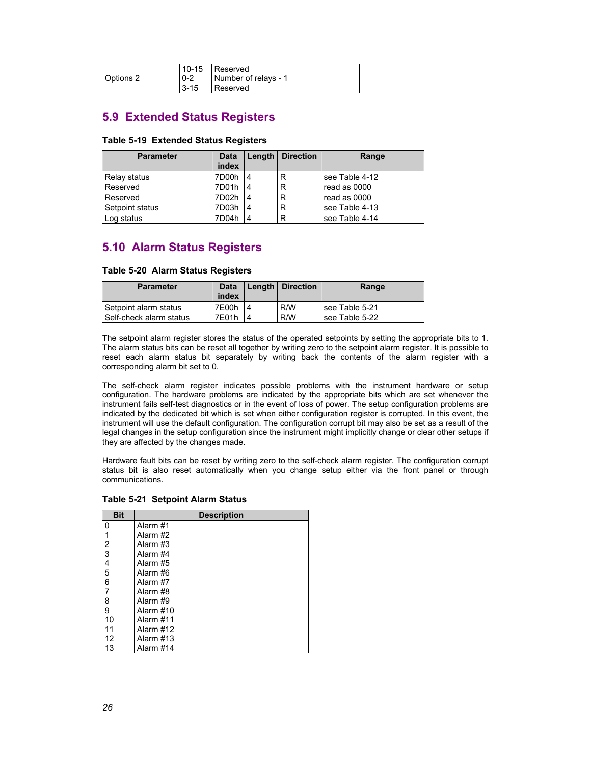|           | 10-15 Reserved                     |
|-----------|------------------------------------|
| Options 2 | $\vert$ 0-2   Number of relays - 1 |
|           | 3-15 Reserved                      |

### **5.9 Extended Status Registers**

#### **Table 5-19 Extended Status Registers**

| <b>Parameter</b> | Data<br>index | Length         | <b>Direction</b> | Range          |
|------------------|---------------|----------------|------------------|----------------|
| Relay status     | 7D00h         | 4              | R                | see Table 4-12 |
| Reserved         | 7D01h         | l 4            | R                | read as 0000   |
| Reserved         | 7D02h         | 14             | R                | read as 0000   |
| Setpoint status  | 7D03h         | 4              | R                | see Table 4-13 |
| Log status       | 7D04h         | $\overline{4}$ | R                | see Table 4-14 |

### **5.10 Alarm Status Registers**

#### **Table 5-20 Alarm Status Registers**

| <b>Parameter</b>          | <b>Data</b> | Length   Direction | Range            |
|---------------------------|-------------|--------------------|------------------|
|                           | index       |                    |                  |
| Setpoint alarm status     | 7E00h       | R/W                | l see Table 5-21 |
| l Self-check alarm status | 7E01h       | R/W                | see Table 5-22   |

The setpoint alarm register stores the status of the operated setpoints by setting the appropriate bits to 1. The alarm status bits can be reset all together by writing zero to the setpoint alarm register. It is possible to reset each alarm status bit separately by writing back the contents of the alarm register with a corresponding alarm bit set to 0.

The self-check alarm register indicates possible problems with the instrument hardware or setup configuration. The hardware problems are indicated by the appropriate bits which are set whenever the instrument fails self-test diagnostics or in the event of loss of power. The setup configuration problems are indicated by the dedicated bit which is set when either configuration register is corrupted. In this event, the instrument will use the default configuration. The configuration corrupt bit may also be set as a result of the legal changes in the setup configuration since the instrument might implicitly change or clear other setups if they are affected by the changes made.

Hardware fault bits can be reset by writing zero to the self-check alarm register. The configuration corrupt status bit is also reset automatically when you change setup either via the front panel or through communications.

| <b>Bit</b>     | <b>Description</b> |
|----------------|--------------------|
| 0              | Alarm #1           |
| 1              | Alarm #2           |
| 2              | Alarm #3           |
| 3              | Alarm #4           |
| $\overline{4}$ | Alarm #5           |
| 5              | Alarm #6           |
| 6              | Alarm #7           |
| 7              | Alarm #8           |
| 8              | Alarm #9           |
| 9              | Alarm #10          |
| 10             | Alarm #11          |
| 11             | Alarm #12          |
| 12             | Alarm #13          |
| 13             | Alarm #14          |

#### **Table 5-21 Setpoint Alarm Status**